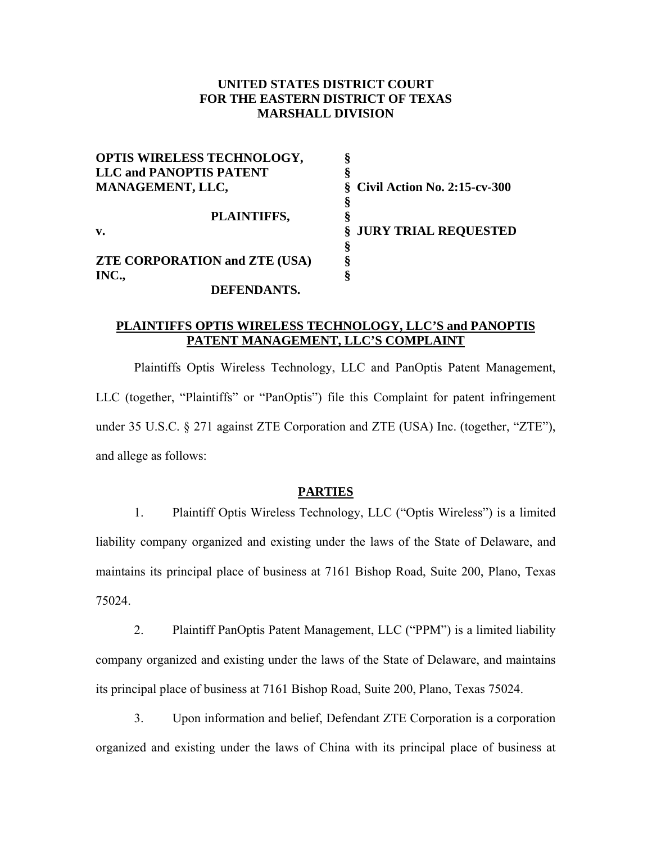### **UNITED STATES DISTRICT COURT FOR THE EASTERN DISTRICT OF TEXAS MARSHALL DIVISION**

| OPTIS WIRELESS TECHNOLOGY,           | 8                                 |
|--------------------------------------|-----------------------------------|
| <b>LLC and PANOPTIS PATENT</b>       |                                   |
| MANAGEMENT, LLC,                     | $\S$ Civil Action No. 2:15-cv-300 |
|                                      | ş                                 |
| PLAINTIFFS,                          | Š                                 |
| v.                                   | § JURY TRIAL REQUESTED            |
|                                      | ş                                 |
| <b>ZTE CORPORATION and ZTE (USA)</b> | ş                                 |
| INC.,                                | 8                                 |
| DEFENDANTS.                          |                                   |

### **PLAINTIFFS OPTIS WIRELESS TECHNOLOGY, LLC'S and PANOPTIS PATENT MANAGEMENT, LLC'S COMPLAINT**

 Plaintiffs Optis Wireless Technology, LLC and PanOptis Patent Management, LLC (together, "Plaintiffs" or "PanOptis") file this Complaint for patent infringement under 35 U.S.C. § 271 against ZTE Corporation and ZTE (USA) Inc. (together, "ZTE"), and allege as follows:

### **PARTIES**

1. Plaintiff Optis Wireless Technology, LLC ("Optis Wireless") is a limited liability company organized and existing under the laws of the State of Delaware, and maintains its principal place of business at 7161 Bishop Road, Suite 200, Plano, Texas 75024.

2. Plaintiff PanOptis Patent Management, LLC ("PPM") is a limited liability company organized and existing under the laws of the State of Delaware, and maintains its principal place of business at 7161 Bishop Road, Suite 200, Plano, Texas 75024.

3. Upon information and belief, Defendant ZTE Corporation is a corporation organized and existing under the laws of China with its principal place of business at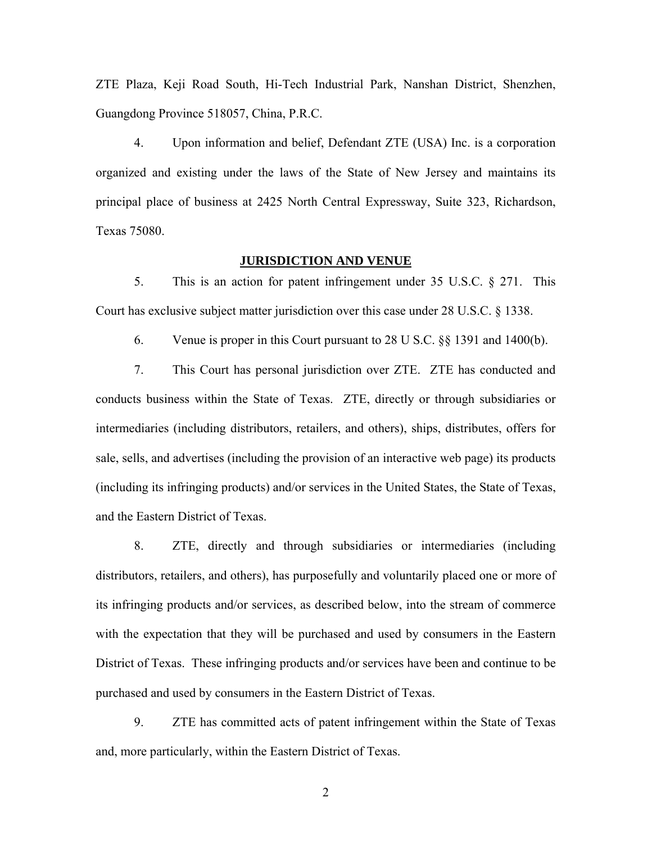ZTE Plaza, Keji Road South, Hi-Tech Industrial Park, Nanshan District, Shenzhen, Guangdong Province 518057, China, P.R.C.

4. Upon information and belief, Defendant ZTE (USA) Inc. is a corporation organized and existing under the laws of the State of New Jersey and maintains its principal place of business at 2425 North Central Expressway, Suite 323, Richardson, Texas 75080.

### **JURISDICTION AND VENUE**

5. This is an action for patent infringement under 35 U.S.C. § 271. This Court has exclusive subject matter jurisdiction over this case under 28 U.S.C. § 1338.

6. Venue is proper in this Court pursuant to 28 U S.C. §§ 1391 and 1400(b).

7. This Court has personal jurisdiction over ZTE. ZTE has conducted and conducts business within the State of Texas. ZTE, directly or through subsidiaries or intermediaries (including distributors, retailers, and others), ships, distributes, offers for sale, sells, and advertises (including the provision of an interactive web page) its products (including its infringing products) and/or services in the United States, the State of Texas, and the Eastern District of Texas.

8. ZTE, directly and through subsidiaries or intermediaries (including distributors, retailers, and others), has purposefully and voluntarily placed one or more of its infringing products and/or services, as described below, into the stream of commerce with the expectation that they will be purchased and used by consumers in the Eastern District of Texas. These infringing products and/or services have been and continue to be purchased and used by consumers in the Eastern District of Texas.

9. ZTE has committed acts of patent infringement within the State of Texas and, more particularly, within the Eastern District of Texas.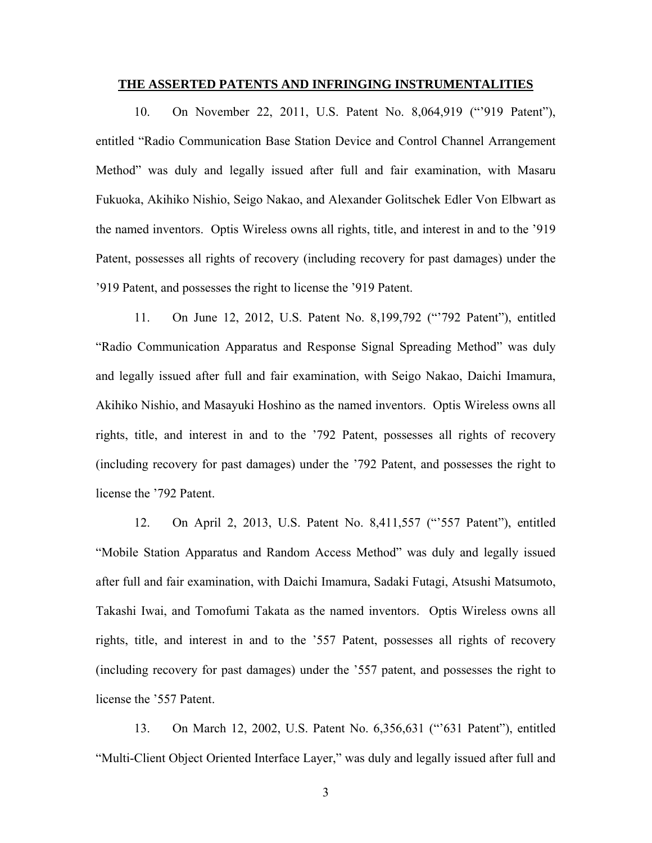### **THE ASSERTED PATENTS AND INFRINGING INSTRUMENTALITIES**

10. On November 22, 2011, U.S. Patent No. 8,064,919 ("'919 Patent"), entitled "Radio Communication Base Station Device and Control Channel Arrangement Method" was duly and legally issued after full and fair examination, with Masaru Fukuoka, Akihiko Nishio, Seigo Nakao, and Alexander Golitschek Edler Von Elbwart as the named inventors. Optis Wireless owns all rights, title, and interest in and to the '919 Patent, possesses all rights of recovery (including recovery for past damages) under the '919 Patent, and possesses the right to license the '919 Patent.

11. On June 12, 2012, U.S. Patent No. 8,199,792 ("'792 Patent"), entitled "Radio Communication Apparatus and Response Signal Spreading Method" was duly and legally issued after full and fair examination, with Seigo Nakao, Daichi Imamura, Akihiko Nishio, and Masayuki Hoshino as the named inventors. Optis Wireless owns all rights, title, and interest in and to the '792 Patent, possesses all rights of recovery (including recovery for past damages) under the '792 Patent, and possesses the right to license the '792 Patent.

12. On April 2, 2013, U.S. Patent No. 8,411,557 ("'557 Patent"), entitled "Mobile Station Apparatus and Random Access Method" was duly and legally issued after full and fair examination, with Daichi Imamura, Sadaki Futagi, Atsushi Matsumoto, Takashi Iwai, and Tomofumi Takata as the named inventors. Optis Wireless owns all rights, title, and interest in and to the '557 Patent, possesses all rights of recovery (including recovery for past damages) under the '557 patent, and possesses the right to license the '557 Patent.

13. On March 12, 2002, U.S. Patent No. 6,356,631 ("'631 Patent"), entitled "Multi-Client Object Oriented Interface Layer," was duly and legally issued after full and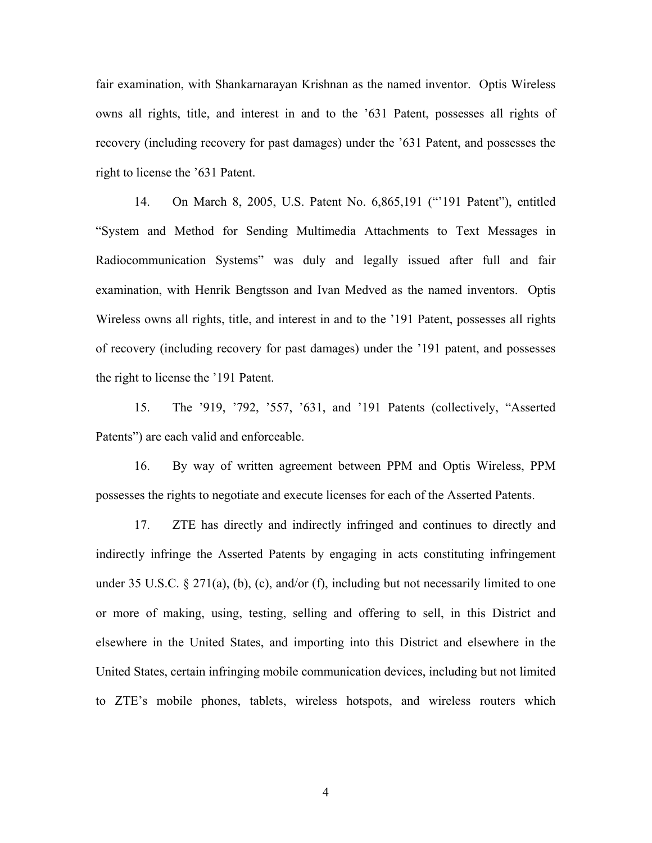fair examination, with Shankarnarayan Krishnan as the named inventor. Optis Wireless owns all rights, title, and interest in and to the '631 Patent, possesses all rights of recovery (including recovery for past damages) under the '631 Patent, and possesses the right to license the '631 Patent.

14. On March 8, 2005, U.S. Patent No. 6,865,191 ("'191 Patent"), entitled "System and Method for Sending Multimedia Attachments to Text Messages in Radiocommunication Systems" was duly and legally issued after full and fair examination, with Henrik Bengtsson and Ivan Medved as the named inventors. Optis Wireless owns all rights, title, and interest in and to the '191 Patent, possesses all rights of recovery (including recovery for past damages) under the '191 patent, and possesses the right to license the '191 Patent.

15. The '919, '792, '557, '631, and '191 Patents (collectively, "Asserted Patents") are each valid and enforceable.

16. By way of written agreement between PPM and Optis Wireless, PPM possesses the rights to negotiate and execute licenses for each of the Asserted Patents.

17. ZTE has directly and indirectly infringed and continues to directly and indirectly infringe the Asserted Patents by engaging in acts constituting infringement under 35 U.S.C.  $\S 271(a)$ , (b), (c), and/or (f), including but not necessarily limited to one or more of making, using, testing, selling and offering to sell, in this District and elsewhere in the United States, and importing into this District and elsewhere in the United States, certain infringing mobile communication devices, including but not limited to ZTE's mobile phones, tablets, wireless hotspots, and wireless routers which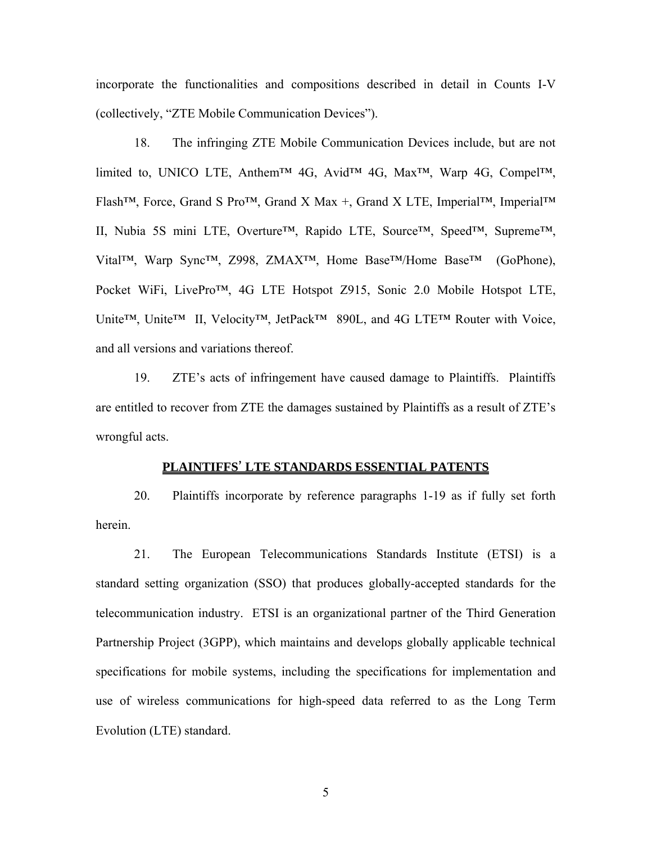incorporate the functionalities and compositions described in detail in Counts I-V (collectively, "ZTE Mobile Communication Devices").

18. The infringing ZTE Mobile Communication Devices include, but are not limited to, UNICO LTE, Anthem™ 4G, Avid™ 4G, Max™, Warp 4G, Compel™, Flash™, Force, Grand S Pro™, Grand X Max +, Grand X LTE, Imperial™, Imperial™ II, Nubia 5S mini LTE, Overture™, Rapido LTE, Source™, Speed™, Supreme™, Vital™, Warp Sync™, Z998, ZMAX™, Home Base™/Home Base™ (GoPhone), Pocket WiFi, LivePro™, 4G LTE Hotspot Z915, Sonic 2.0 Mobile Hotspot LTE, Unite™, Unite™ II, Velocity™, JetPack™ 890L, and 4G LTE™ Router with Voice, and all versions and variations thereof.

19. ZTE's acts of infringement have caused damage to Plaintiffs. Plaintiffs are entitled to recover from ZTE the damages sustained by Plaintiffs as a result of ZTE's wrongful acts.

### **PLAINTIFFS**' **LTE STANDARDS ESSENTIAL PATENTS**

20. Plaintiffs incorporate by reference paragraphs 1-19 as if fully set forth herein.

21. The European Telecommunications Standards Institute (ETSI) is a standard setting organization (SSO) that produces globally-accepted standards for the telecommunication industry. ETSI is an organizational partner of the Third Generation Partnership Project (3GPP), which maintains and develops globally applicable technical specifications for mobile systems, including the specifications for implementation and use of wireless communications for high-speed data referred to as the Long Term Evolution (LTE) standard.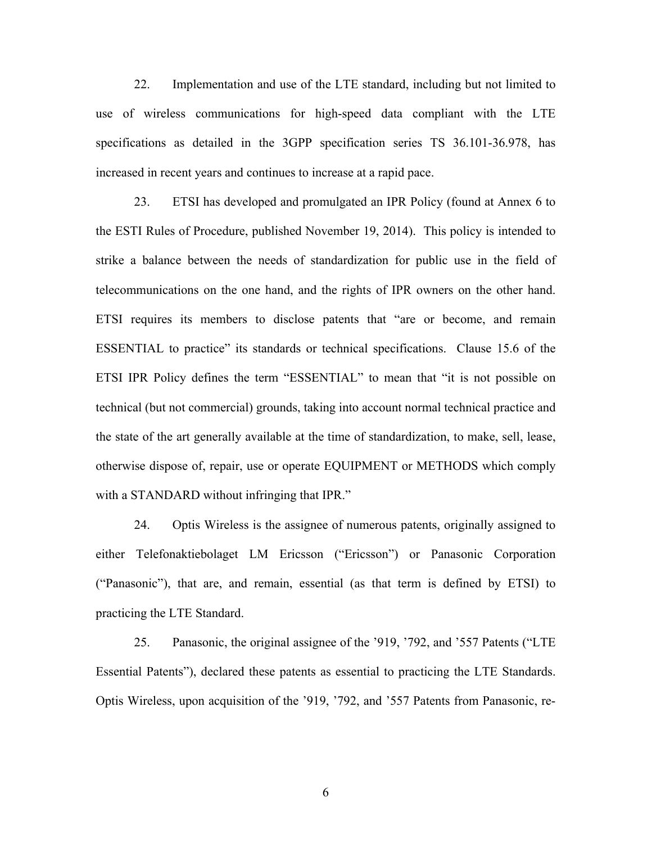22. Implementation and use of the LTE standard, including but not limited to use of wireless communications for high-speed data compliant with the LTE specifications as detailed in the 3GPP specification series TS 36.101-36.978, has increased in recent years and continues to increase at a rapid pace.

23. ETSI has developed and promulgated an IPR Policy (found at Annex 6 to the ESTI Rules of Procedure, published November 19, 2014). This policy is intended to strike a balance between the needs of standardization for public use in the field of telecommunications on the one hand, and the rights of IPR owners on the other hand. ETSI requires its members to disclose patents that "are or become, and remain ESSENTIAL to practice" its standards or technical specifications. Clause 15.6 of the ETSI IPR Policy defines the term "ESSENTIAL" to mean that "it is not possible on technical (but not commercial) grounds, taking into account normal technical practice and the state of the art generally available at the time of standardization, to make, sell, lease, otherwise dispose of, repair, use or operate EQUIPMENT or METHODS which comply with a STANDARD without infringing that IPR."

24. Optis Wireless is the assignee of numerous patents, originally assigned to either Telefonaktiebolaget LM Ericsson ("Ericsson") or Panasonic Corporation ("Panasonic"), that are, and remain, essential (as that term is defined by ETSI) to practicing the LTE Standard.

25. Panasonic, the original assignee of the '919, '792, and '557 Patents ("LTE Essential Patents"), declared these patents as essential to practicing the LTE Standards. Optis Wireless, upon acquisition of the '919, '792, and '557 Patents from Panasonic, re-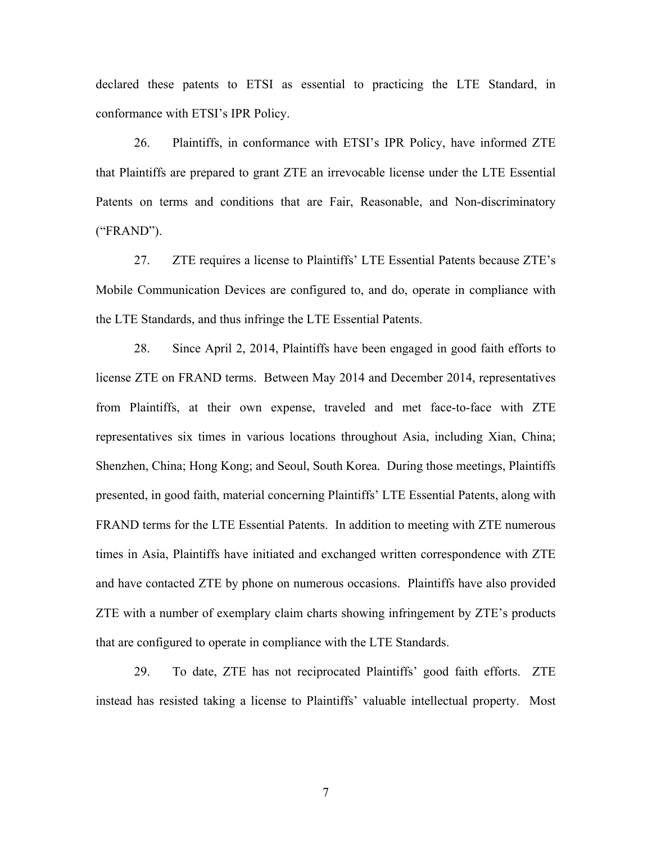declared these patents to ETSI as essential to practicing the LTE Standard, in conformance with ETSI's IPR Policy.

26. Plaintiffs, in conformance with ETSI's IPR Policy, have informed ZTE that Plaintiffs are prepared to grant ZTE an irrevocable license under the LTE Essential Patents on terms and conditions that are Fair, Reasonable, and Non-discriminatory ("FRAND").

27. ZTE requires a license to Plaintiffs' LTE Essential Patents because ZTE's Mobile Communication Devices are configured to, and do, operate in compliance with the LTE Standards, and thus infringe the LTE Essential Patents.

28. Since April 2, 2014, Plaintiffs have been engaged in good faith efforts to license ZTE on FRAND terms. Between May 2014 and December 2014, representatives from Plaintiffs, at their own expense, traveled and met face-to-face with ZTE representatives six times in various locations throughout Asia, including Xian, China; Shenzhen, China; Hong Kong; and Seoul, South Korea. During those meetings, Plaintiffs presented, in good faith, material concerning Plaintiffs' LTE Essential Patents, along with FRAND terms for the LTE Essential Patents. In addition to meeting with ZTE numerous times in Asia, Plaintiffs have initiated and exchanged written correspondence with ZTE and have contacted ZTE by phone on numerous occasions. Plaintiffs have also provided ZTE with a number of exemplary claim charts showing infringement by ZTE's products that are configured to operate in compliance with the LTE Standards.

29. To date, ZTE has not reciprocated Plaintiffs' good faith efforts. ZTE instead has resisted taking a license to Plaintiffs' valuable intellectual property. Most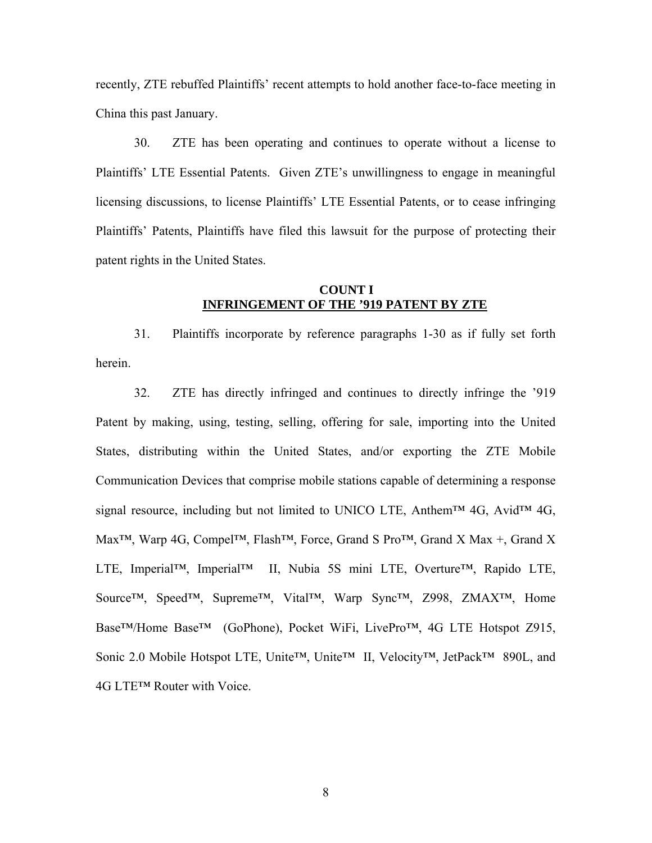recently, ZTE rebuffed Plaintiffs' recent attempts to hold another face-to-face meeting in China this past January.

30. ZTE has been operating and continues to operate without a license to Plaintiffs' LTE Essential Patents. Given ZTE's unwillingness to engage in meaningful licensing discussions, to license Plaintiffs' LTE Essential Patents, or to cease infringing Plaintiffs' Patents, Plaintiffs have filed this lawsuit for the purpose of protecting their patent rights in the United States.

### **COUNT I INFRINGEMENT OF THE '919 PATENT BY ZTE**

31. Plaintiffs incorporate by reference paragraphs 1-30 as if fully set forth herein.

32. ZTE has directly infringed and continues to directly infringe the '919 Patent by making, using, testing, selling, offering for sale, importing into the United States, distributing within the United States, and/or exporting the ZTE Mobile Communication Devices that comprise mobile stations capable of determining a response signal resource, including but not limited to UNICO LTE, Anthem<sup>™</sup> 4G, Avid<sup>™</sup> 4G, Max<sup>™</sup>, Warp 4G, Compel™, Flash™, Force, Grand S Pro™, Grand X Max +, Grand X LTE, Imperial™, Imperial™ II, Nubia 5S mini LTE, Overture™, Rapido LTE, Source™, Speed™, Supreme™, Vital™, Warp Sync™, Z998, ZMAX™, Home Base™/Home Base™ (GoPhone), Pocket WiFi, LivePro™, 4G LTE Hotspot Z915, Sonic 2.0 Mobile Hotspot LTE, Unite™, Unite™ II, Velocity™, JetPack™ 890L, and 4G LTE™ Router with Voice.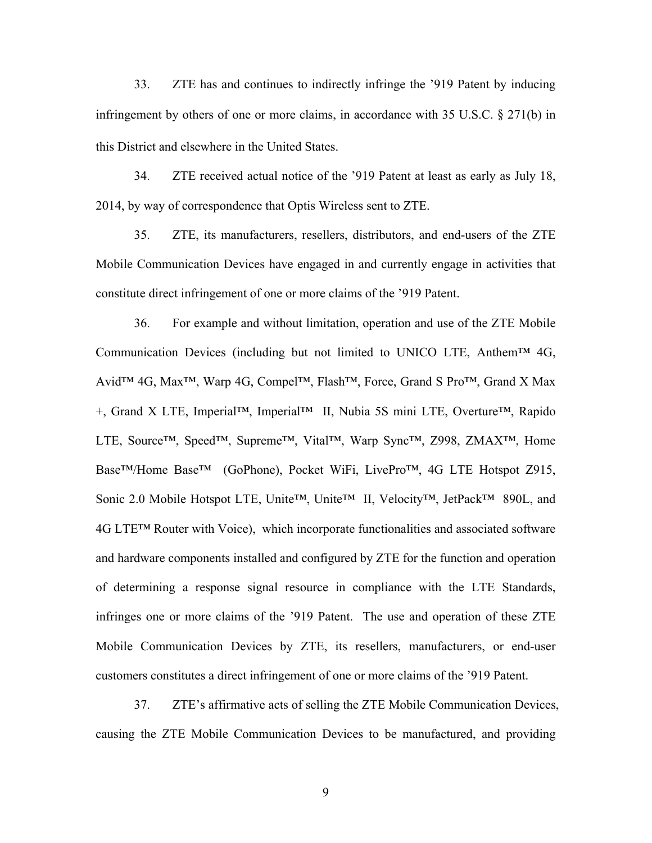33. ZTE has and continues to indirectly infringe the '919 Patent by inducing infringement by others of one or more claims, in accordance with 35 U.S.C. § 271(b) in this District and elsewhere in the United States.

34. ZTE received actual notice of the '919 Patent at least as early as July 18, 2014, by way of correspondence that Optis Wireless sent to ZTE.

35. ZTE, its manufacturers, resellers, distributors, and end-users of the ZTE Mobile Communication Devices have engaged in and currently engage in activities that constitute direct infringement of one or more claims of the '919 Patent.

36. For example and without limitation, operation and use of the ZTE Mobile Communication Devices (including but not limited to UNICO LTE, Anthem<sup>TM</sup> 4G, Avid<sup>™</sup> 4G, Max<sup>™</sup>, Warp 4G, Compel™, Flash<sup>™</sup>, Force, Grand S Pro™, Grand X Max +, Grand X LTE, Imperial™, Imperial™ II, Nubia 5S mini LTE, Overture™, Rapido LTE, Source™, Speed™, Supreme™, Vital™, Warp Sync™, Z998, ZMAX™, Home Base™/Home Base™ (GoPhone), Pocket WiFi, LivePro™, 4G LTE Hotspot Z915, Sonic 2.0 Mobile Hotspot LTE, Unite™, Unite™ II, Velocity™, JetPack™ 890L, and 4G LTE™ Router with Voice), which incorporate functionalities and associated software and hardware components installed and configured by ZTE for the function and operation of determining a response signal resource in compliance with the LTE Standards, infringes one or more claims of the '919 Patent. The use and operation of these ZTE Mobile Communication Devices by ZTE, its resellers, manufacturers, or end-user customers constitutes a direct infringement of one or more claims of the '919 Patent.

37. ZTE's affirmative acts of selling the ZTE Mobile Communication Devices, causing the ZTE Mobile Communication Devices to be manufactured, and providing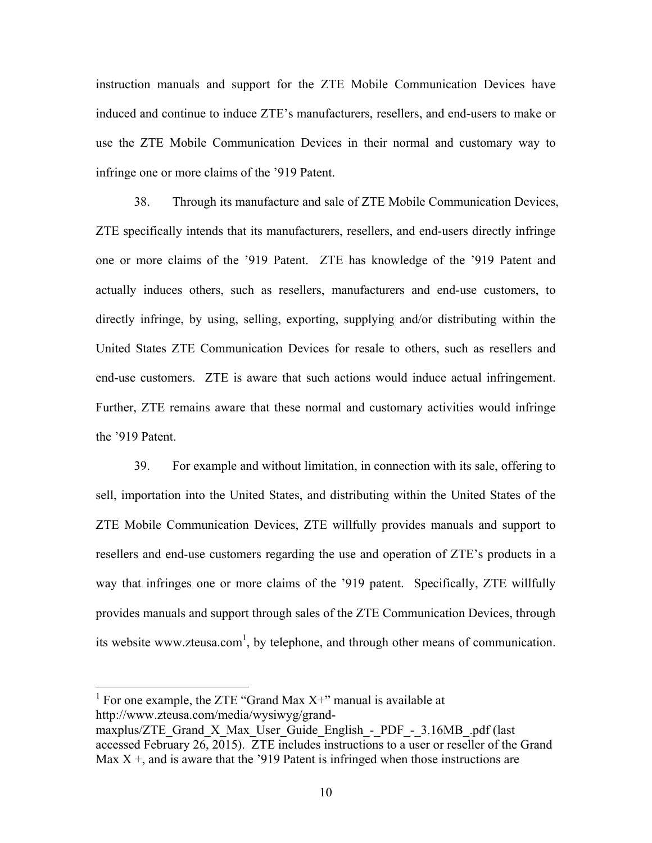instruction manuals and support for the ZTE Mobile Communication Devices have induced and continue to induce ZTE's manufacturers, resellers, and end-users to make or use the ZTE Mobile Communication Devices in their normal and customary way to infringe one or more claims of the '919 Patent.

38. Through its manufacture and sale of ZTE Mobile Communication Devices, ZTE specifically intends that its manufacturers, resellers, and end-users directly infringe one or more claims of the '919 Patent. ZTE has knowledge of the '919 Patent and actually induces others, such as resellers, manufacturers and end-use customers, to directly infringe, by using, selling, exporting, supplying and/or distributing within the United States ZTE Communication Devices for resale to others, such as resellers and end-use customers. ZTE is aware that such actions would induce actual infringement. Further, ZTE remains aware that these normal and customary activities would infringe the '919 Patent.

39. For example and without limitation, in connection with its sale, offering to sell, importation into the United States, and distributing within the United States of the ZTE Mobile Communication Devices, ZTE willfully provides manuals and support to resellers and end-use customers regarding the use and operation of ZTE's products in a way that infringes one or more claims of the '919 patent. Specifically, ZTE willfully provides manuals and support through sales of the ZTE Communication Devices, through its website www.zteusa.com<sup>1</sup>, by telephone, and through other means of communication.

<sup>1</sup> For one example, the ZTE "Grand Max X+" manual is available at http://www.zteusa.com/media/wysiwyg/grand-

maxplus/ZTE\_Grand\_X\_Max\_User\_Guide\_English -\_PDF\_-\_3.16MB\_.pdf (last accessed February 26, 2015). ZTE includes instructions to a user or reseller of the Grand Max  $X +$ , and is aware that the '919 Patent is infringed when those instructions are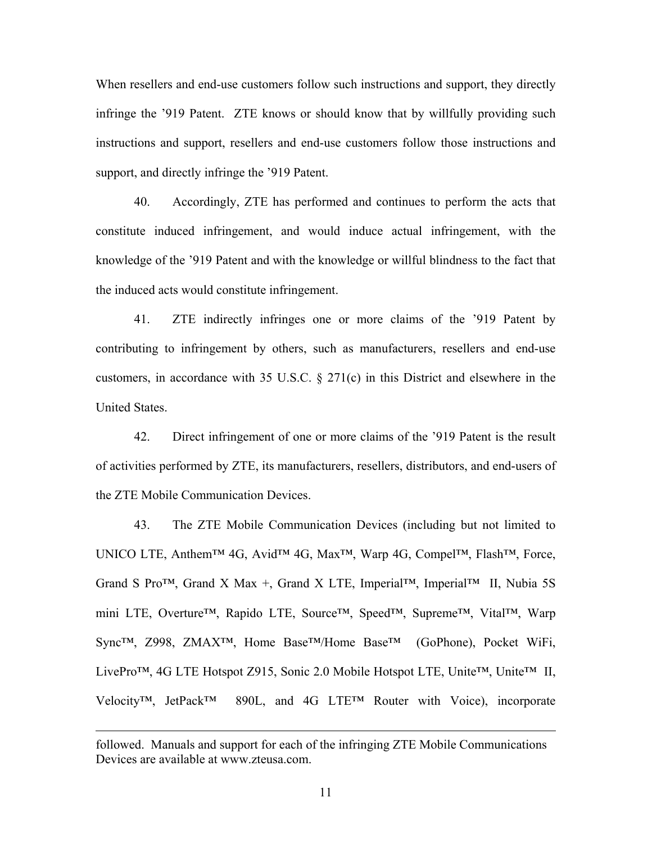When resellers and end-use customers follow such instructions and support, they directly infringe the '919 Patent. ZTE knows or should know that by willfully providing such instructions and support, resellers and end-use customers follow those instructions and support, and directly infringe the '919 Patent.

40. Accordingly, ZTE has performed and continues to perform the acts that constitute induced infringement, and would induce actual infringement, with the knowledge of the '919 Patent and with the knowledge or willful blindness to the fact that the induced acts would constitute infringement.

41. ZTE indirectly infringes one or more claims of the '919 Patent by contributing to infringement by others, such as manufacturers, resellers and end-use customers, in accordance with 35 U.S.C. § 271(c) in this District and elsewhere in the United States.

42. Direct infringement of one or more claims of the '919 Patent is the result of activities performed by ZTE, its manufacturers, resellers, distributors, and end-users of the ZTE Mobile Communication Devices.

43. The ZTE Mobile Communication Devices (including but not limited to UNICO LTE, Anthem™ 4G, Avid™ 4G, Max™, Warp 4G, Compel™, Flash™, Force, Grand S Pro™, Grand X Max +, Grand X LTE, Imperial™, Imperial™ II, Nubia 5S mini LTE, Overture™, Rapido LTE, Source™, Speed™, Supreme™, Vital™, Warp Sync™, Z998, ZMAX™, Home Base™/Home Base™ (GoPhone), Pocket WiFi, LivePro™, 4G LTE Hotspot Z915, Sonic 2.0 Mobile Hotspot LTE, Unite™, Unite™ II, Velocity™, JetPack™ 890L, and 4G LTE™ Router with Voice), incorporate

 $\overline{a}$ 

followed. Manuals and support for each of the infringing ZTE Mobile Communications Devices are available at www.zteusa.com.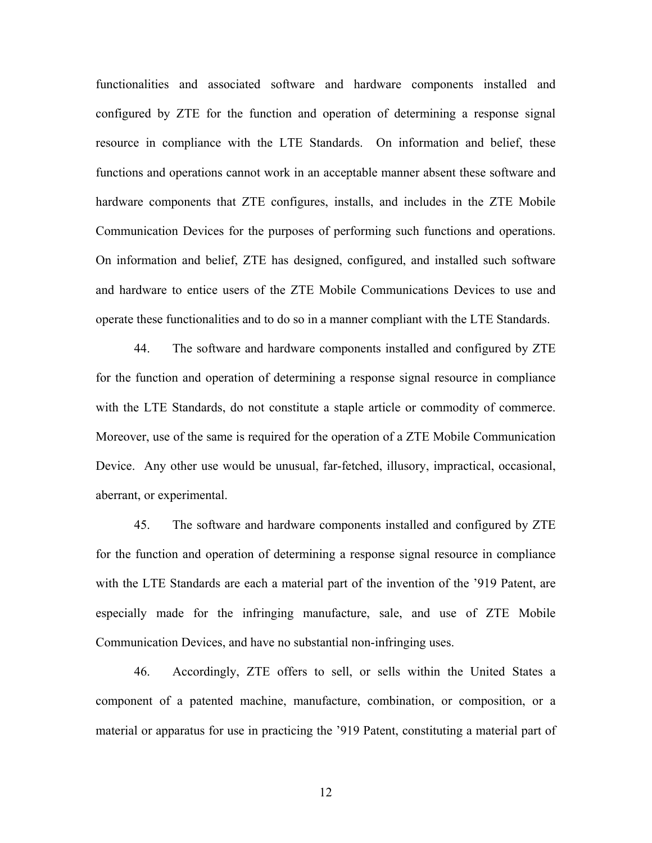functionalities and associated software and hardware components installed and configured by ZTE for the function and operation of determining a response signal resource in compliance with the LTE Standards. On information and belief, these functions and operations cannot work in an acceptable manner absent these software and hardware components that ZTE configures, installs, and includes in the ZTE Mobile Communication Devices for the purposes of performing such functions and operations. On information and belief, ZTE has designed, configured, and installed such software and hardware to entice users of the ZTE Mobile Communications Devices to use and operate these functionalities and to do so in a manner compliant with the LTE Standards.

44. The software and hardware components installed and configured by ZTE for the function and operation of determining a response signal resource in compliance with the LTE Standards, do not constitute a staple article or commodity of commerce. Moreover, use of the same is required for the operation of a ZTE Mobile Communication Device. Any other use would be unusual, far-fetched, illusory, impractical, occasional, aberrant, or experimental.

45. The software and hardware components installed and configured by ZTE for the function and operation of determining a response signal resource in compliance with the LTE Standards are each a material part of the invention of the '919 Patent, are especially made for the infringing manufacture, sale, and use of ZTE Mobile Communication Devices, and have no substantial non-infringing uses.

46. Accordingly, ZTE offers to sell, or sells within the United States a component of a patented machine, manufacture, combination, or composition, or a material or apparatus for use in practicing the '919 Patent, constituting a material part of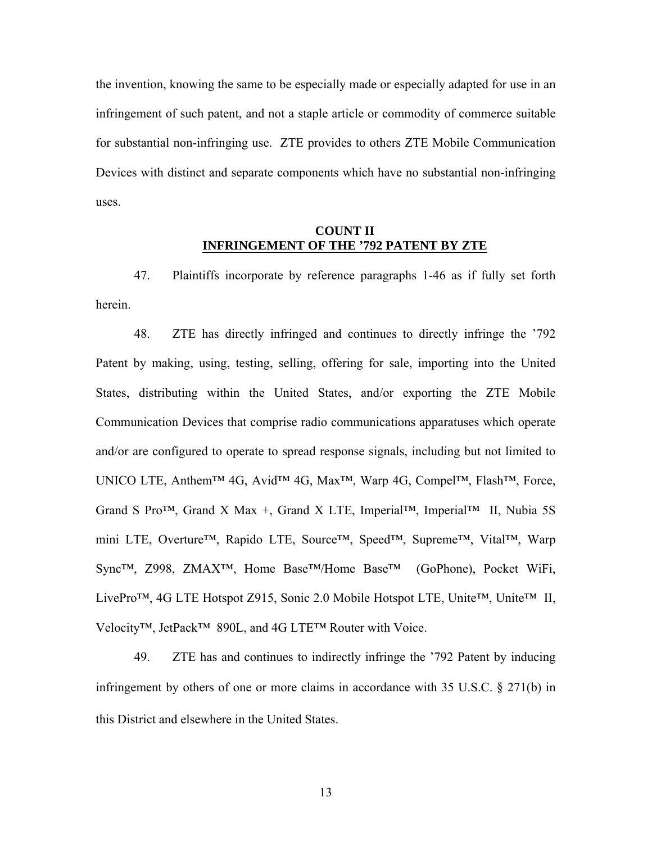the invention, knowing the same to be especially made or especially adapted for use in an infringement of such patent, and not a staple article or commodity of commerce suitable for substantial non-infringing use. ZTE provides to others ZTE Mobile Communication Devices with distinct and separate components which have no substantial non-infringing uses.

### **COUNT II INFRINGEMENT OF THE '792 PATENT BY ZTE**

47. Plaintiffs incorporate by reference paragraphs 1-46 as if fully set forth herein.

48. ZTE has directly infringed and continues to directly infringe the '792 Patent by making, using, testing, selling, offering for sale, importing into the United States, distributing within the United States, and/or exporting the ZTE Mobile Communication Devices that comprise radio communications apparatuses which operate and/or are configured to operate to spread response signals, including but not limited to UNICO LTE, Anthem™ 4G, Avid™ 4G, Max™, Warp 4G, Compel™, Flash™, Force, Grand S Pro<sup>TM</sup>, Grand X Max +, Grand X LTE, Imperial<sup>TM</sup>, Imperial<sup>TM</sup> II, Nubia 5S mini LTE, Overture™, Rapido LTE, Source™, Speed™, Supreme™, Vital™, Warp Sync™, Z998, ZMAX™, Home Base™/Home Base™ (GoPhone), Pocket WiFi, LivePro™, 4G LTE Hotspot Z915, Sonic 2.0 Mobile Hotspot LTE, Unite™, Unite™ II, Velocity™, JetPack™ 890L, and 4G LTE™ Router with Voice.

49. ZTE has and continues to indirectly infringe the '792 Patent by inducing infringement by others of one or more claims in accordance with 35 U.S.C. § 271(b) in this District and elsewhere in the United States.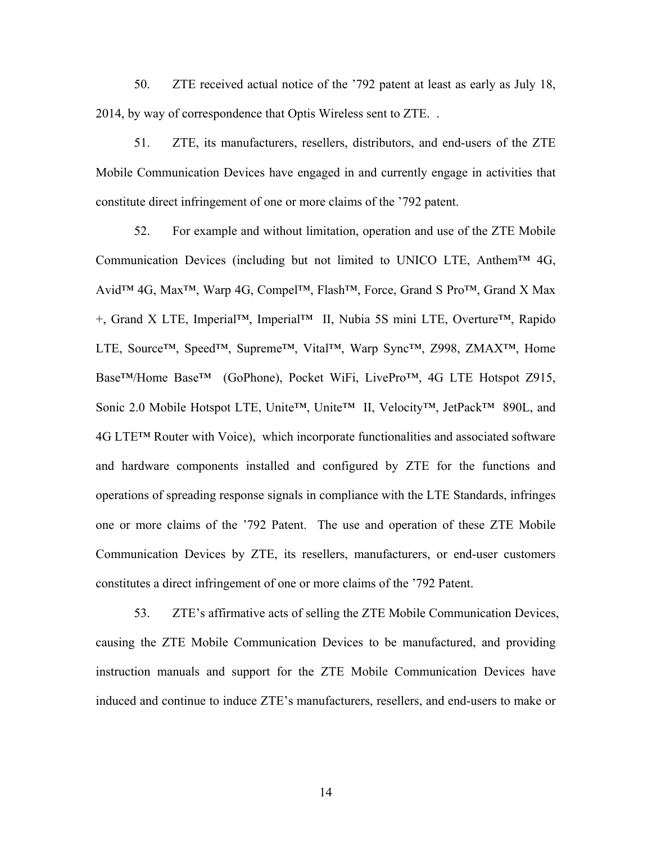50. ZTE received actual notice of the '792 patent at least as early as July 18, 2014, by way of correspondence that Optis Wireless sent to ZTE. .

51. ZTE, its manufacturers, resellers, distributors, and end-users of the ZTE Mobile Communication Devices have engaged in and currently engage in activities that constitute direct infringement of one or more claims of the '792 patent.

52. For example and without limitation, operation and use of the ZTE Mobile Communication Devices (including but not limited to UNICO LTE, Anthem<sup>TM</sup> 4G, Avid™ 4G, Max™, Warp 4G, Compel™, Flash™, Force, Grand S Pro™, Grand X Max +, Grand X LTE, Imperial™, Imperial™ II, Nubia 5S mini LTE, Overture™, Rapido LTE, Source™, Speed™, Supreme™, Vital™, Warp Sync™, Z998, ZMAX™, Home Base™/Home Base™ (GoPhone), Pocket WiFi, LivePro™, 4G LTE Hotspot Z915, Sonic 2.0 Mobile Hotspot LTE, Unite™, Unite™ II, Velocity™, JetPack™ 890L, and 4G LTE™ Router with Voice), which incorporate functionalities and associated software and hardware components installed and configured by ZTE for the functions and operations of spreading response signals in compliance with the LTE Standards, infringes one or more claims of the '792 Patent. The use and operation of these ZTE Mobile Communication Devices by ZTE, its resellers, manufacturers, or end-user customers constitutes a direct infringement of one or more claims of the '792 Patent.

53. ZTE's affirmative acts of selling the ZTE Mobile Communication Devices, causing the ZTE Mobile Communication Devices to be manufactured, and providing instruction manuals and support for the ZTE Mobile Communication Devices have induced and continue to induce ZTE's manufacturers, resellers, and end-users to make or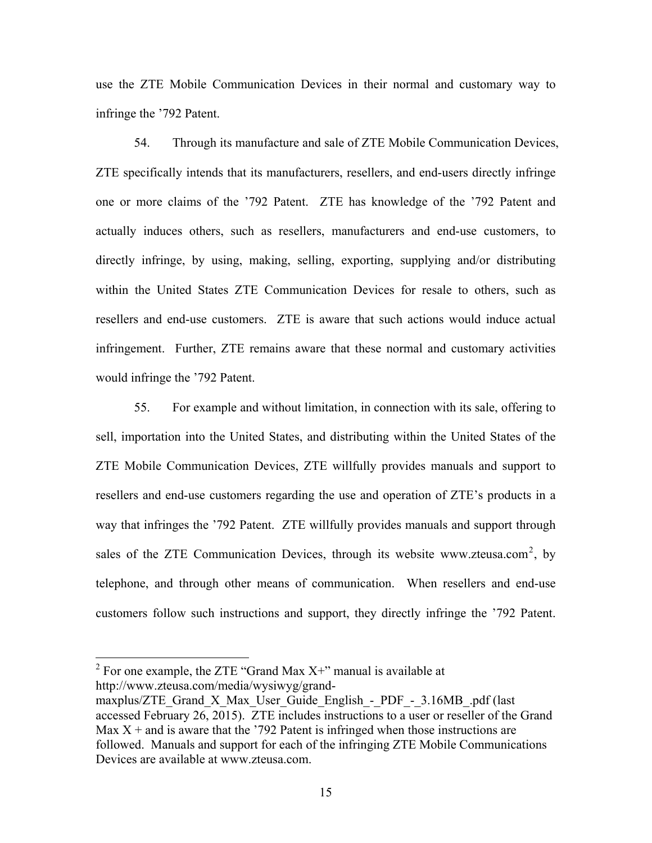use the ZTE Mobile Communication Devices in their normal and customary way to infringe the '792 Patent.

54. Through its manufacture and sale of ZTE Mobile Communication Devices, ZTE specifically intends that its manufacturers, resellers, and end-users directly infringe one or more claims of the '792 Patent. ZTE has knowledge of the '792 Patent and actually induces others, such as resellers, manufacturers and end-use customers, to directly infringe, by using, making, selling, exporting, supplying and/or distributing within the United States ZTE Communication Devices for resale to others, such as resellers and end-use customers. ZTE is aware that such actions would induce actual infringement. Further, ZTE remains aware that these normal and customary activities would infringe the '792 Patent.

55. For example and without limitation, in connection with its sale, offering to sell, importation into the United States, and distributing within the United States of the ZTE Mobile Communication Devices, ZTE willfully provides manuals and support to resellers and end-use customers regarding the use and operation of ZTE's products in a way that infringes the '792 Patent. ZTE willfully provides manuals and support through sales of the ZTE Communication Devices, through its website www.zteusa.com<sup>2</sup>, by telephone, and through other means of communication. When resellers and end-use customers follow such instructions and support, they directly infringe the '792 Patent.

<sup>&</sup>lt;sup>2</sup> For one example, the ZTE "Grand Max  $X$ +" manual is available at http://www.zteusa.com/media/wysiwyg/grand-

maxplus/ZTE\_Grand\_X\_Max\_User\_Guide\_English - PDF -  $3.16MB$ .pdf (last accessed February 26, 2015). ZTE includes instructions to a user or reseller of the Grand Max  $X$  + and is aware that the '792 Patent is infringed when those instructions are followed. Manuals and support for each of the infringing ZTE Mobile Communications Devices are available at www.zteusa.com.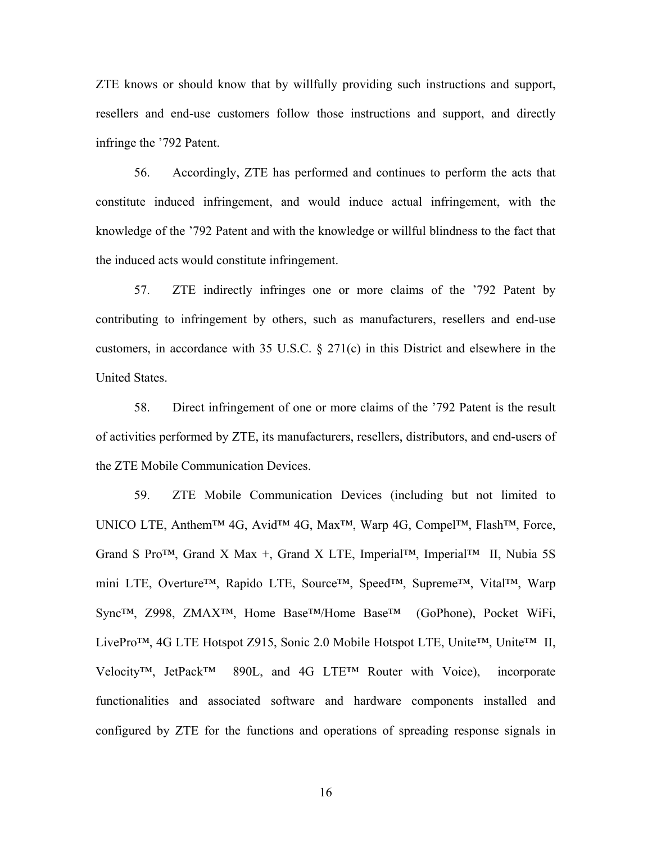ZTE knows or should know that by willfully providing such instructions and support, resellers and end-use customers follow those instructions and support, and directly infringe the '792 Patent.

56. Accordingly, ZTE has performed and continues to perform the acts that constitute induced infringement, and would induce actual infringement, with the knowledge of the '792 Patent and with the knowledge or willful blindness to the fact that the induced acts would constitute infringement.

57. ZTE indirectly infringes one or more claims of the '792 Patent by contributing to infringement by others, such as manufacturers, resellers and end-use customers, in accordance with 35 U.S.C. § 271(c) in this District and elsewhere in the United States.

58. Direct infringement of one or more claims of the '792 Patent is the result of activities performed by ZTE, its manufacturers, resellers, distributors, and end-users of the ZTE Mobile Communication Devices.

59. ZTE Mobile Communication Devices (including but not limited to UNICO LTE, Anthem™ 4G, Avid™ 4G, Max™, Warp 4G, Compel™, Flash™, Force, Grand S Pro<sup>TM</sup>, Grand X Max +, Grand X LTE, Imperial<sup>TM</sup>, Imperial<sup>TM</sup> II, Nubia 5S mini LTE, Overture™, Rapido LTE, Source™, Speed™, Supreme™, Vital™, Warp Sync™, Z998, ZMAX™, Home Base™/Home Base™ (GoPhone), Pocket WiFi, LivePro™, 4G LTE Hotspot Z915, Sonic 2.0 Mobile Hotspot LTE, Unite™, Unite™ II, Velocity™, JetPack™ 890L, and 4G LTE™ Router with Voice), incorporate functionalities and associated software and hardware components installed and configured by ZTE for the functions and operations of spreading response signals in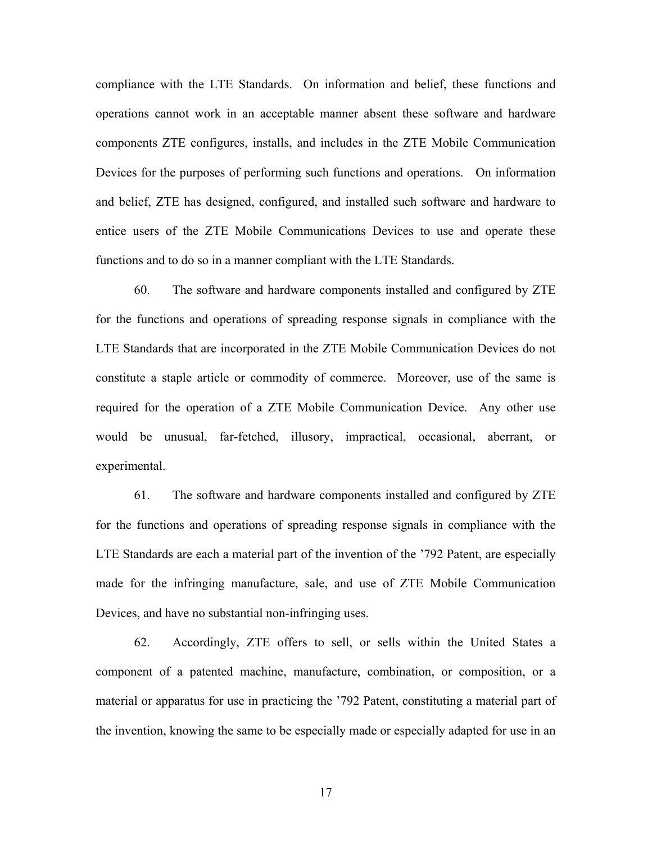compliance with the LTE Standards. On information and belief, these functions and operations cannot work in an acceptable manner absent these software and hardware components ZTE configures, installs, and includes in the ZTE Mobile Communication Devices for the purposes of performing such functions and operations. On information and belief, ZTE has designed, configured, and installed such software and hardware to entice users of the ZTE Mobile Communications Devices to use and operate these functions and to do so in a manner compliant with the LTE Standards.

60. The software and hardware components installed and configured by ZTE for the functions and operations of spreading response signals in compliance with the LTE Standards that are incorporated in the ZTE Mobile Communication Devices do not constitute a staple article or commodity of commerce. Moreover, use of the same is required for the operation of a ZTE Mobile Communication Device. Any other use would be unusual, far-fetched, illusory, impractical, occasional, aberrant, or experimental.

61. The software and hardware components installed and configured by ZTE for the functions and operations of spreading response signals in compliance with the LTE Standards are each a material part of the invention of the '792 Patent, are especially made for the infringing manufacture, sale, and use of ZTE Mobile Communication Devices, and have no substantial non-infringing uses.

62. Accordingly, ZTE offers to sell, or sells within the United States a component of a patented machine, manufacture, combination, or composition, or a material or apparatus for use in practicing the '792 Patent, constituting a material part of the invention, knowing the same to be especially made or especially adapted for use in an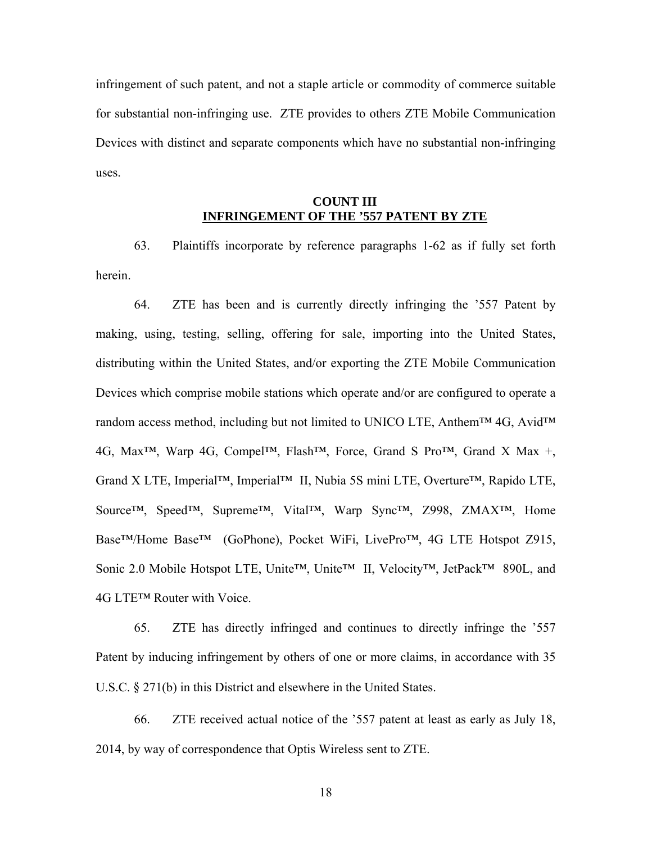infringement of such patent, and not a staple article or commodity of commerce suitable for substantial non-infringing use. ZTE provides to others ZTE Mobile Communication Devices with distinct and separate components which have no substantial non-infringing uses.

### **COUNT III INFRINGEMENT OF THE '557 PATENT BY ZTE**

63. Plaintiffs incorporate by reference paragraphs 1-62 as if fully set forth herein.

64. ZTE has been and is currently directly infringing the '557 Patent by making, using, testing, selling, offering for sale, importing into the United States, distributing within the United States, and/or exporting the ZTE Mobile Communication Devices which comprise mobile stations which operate and/or are configured to operate a random access method, including but not limited to UNICO LTE, Anthem™ 4G, Avid™ 4G, Max™, Warp 4G, Compel™, Flash™, Force, Grand S Pro™, Grand X Max +, Grand X LTE, Imperial™, Imperial™ II, Nubia 5S mini LTE, Overture™, Rapido LTE, Source™, Speed™, Supreme™, Vital™, Warp Sync™, Z998, ZMAX™, Home Base™/Home Base™ (GoPhone), Pocket WiFi, LivePro™, 4G LTE Hotspot Z915, Sonic 2.0 Mobile Hotspot LTE, Unite™, Unite™ II, Velocity™, JetPack™ 890L, and 4G LTE™ Router with Voice.

65. ZTE has directly infringed and continues to directly infringe the '557 Patent by inducing infringement by others of one or more claims, in accordance with 35 U.S.C. § 271(b) in this District and elsewhere in the United States.

66. ZTE received actual notice of the '557 patent at least as early as July 18, 2014, by way of correspondence that Optis Wireless sent to ZTE.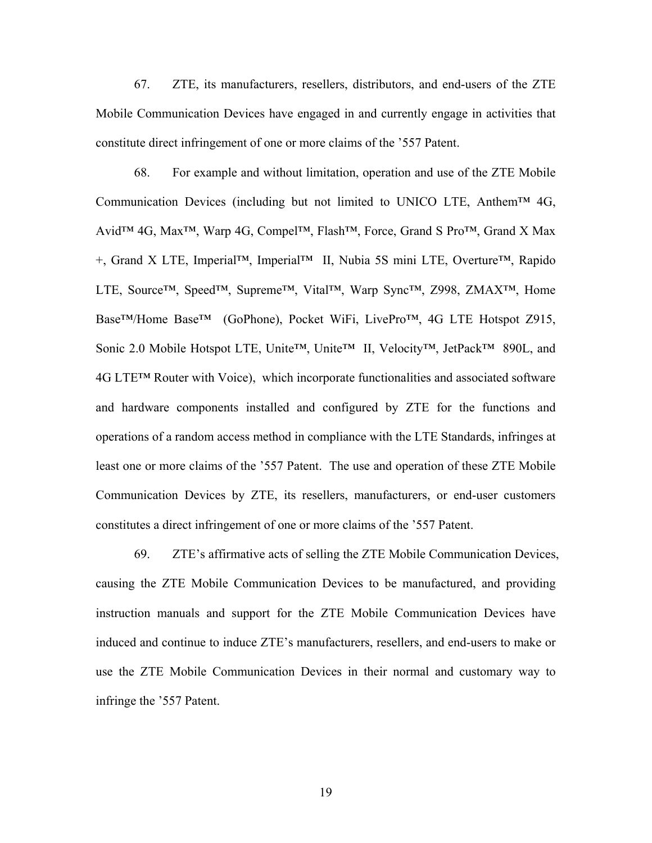67. ZTE, its manufacturers, resellers, distributors, and end-users of the ZTE Mobile Communication Devices have engaged in and currently engage in activities that constitute direct infringement of one or more claims of the '557 Patent.

68. For example and without limitation, operation and use of the ZTE Mobile Communication Devices (including but not limited to UNICO LTE, Anthem<sup>™</sup> 4G, Avid<sup>™</sup> 4G, Max<sup>™</sup>, Warp 4G, Compel<sup>™</sup>, Flash<sup>™</sup>, Force, Grand S Pro™, Grand X Max +, Grand X LTE, Imperial™, Imperial™ II, Nubia 5S mini LTE, Overture™, Rapido LTE, Source™, Speed™, Supreme™, Vital™, Warp Sync™, Z998, ZMAX™, Home Base™/Home Base™ (GoPhone), Pocket WiFi, LivePro™, 4G LTE Hotspot Z915, Sonic 2.0 Mobile Hotspot LTE, Unite™, Unite™ II, Velocity™, JetPack™ 890L, and 4G LTE™ Router with Voice), which incorporate functionalities and associated software and hardware components installed and configured by ZTE for the functions and operations of a random access method in compliance with the LTE Standards, infringes at least one or more claims of the '557 Patent. The use and operation of these ZTE Mobile Communication Devices by ZTE, its resellers, manufacturers, or end-user customers constitutes a direct infringement of one or more claims of the '557 Patent.

69. ZTE's affirmative acts of selling the ZTE Mobile Communication Devices, causing the ZTE Mobile Communication Devices to be manufactured, and providing instruction manuals and support for the ZTE Mobile Communication Devices have induced and continue to induce ZTE's manufacturers, resellers, and end-users to make or use the ZTE Mobile Communication Devices in their normal and customary way to infringe the '557 Patent.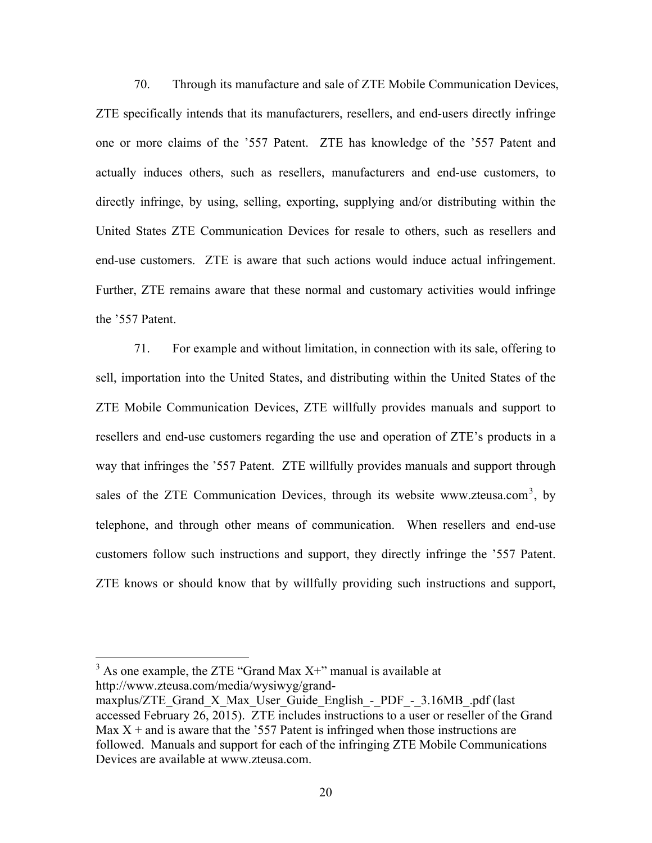70. Through its manufacture and sale of ZTE Mobile Communication Devices, ZTE specifically intends that its manufacturers, resellers, and end-users directly infringe one or more claims of the '557 Patent. ZTE has knowledge of the '557 Patent and actually induces others, such as resellers, manufacturers and end-use customers, to directly infringe, by using, selling, exporting, supplying and/or distributing within the United States ZTE Communication Devices for resale to others, such as resellers and end-use customers. ZTE is aware that such actions would induce actual infringement. Further, ZTE remains aware that these normal and customary activities would infringe the '557 Patent.

71. For example and without limitation, in connection with its sale, offering to sell, importation into the United States, and distributing within the United States of the ZTE Mobile Communication Devices, ZTE willfully provides manuals and support to resellers and end-use customers regarding the use and operation of ZTE's products in a way that infringes the '557 Patent. ZTE willfully provides manuals and support through sales of the ZTE Communication Devices, through its website www.zteusa.com<sup>3</sup>, by telephone, and through other means of communication. When resellers and end-use customers follow such instructions and support, they directly infringe the '557 Patent. ZTE knows or should know that by willfully providing such instructions and support,

 $3$  As one example, the ZTE "Grand Max X+" manual is available at http://www.zteusa.com/media/wysiwyg/grand-

maxplus/ZTE\_Grand\_X\_Max\_User\_Guide\_English\_-\_PDF\_-\_3.16MB\_.pdf (last accessed February 26, 2015). ZTE includes instructions to a user or reseller of the Grand Max  $X$  + and is aware that the '557 Patent is infringed when those instructions are followed. Manuals and support for each of the infringing ZTE Mobile Communications Devices are available at www.zteusa.com.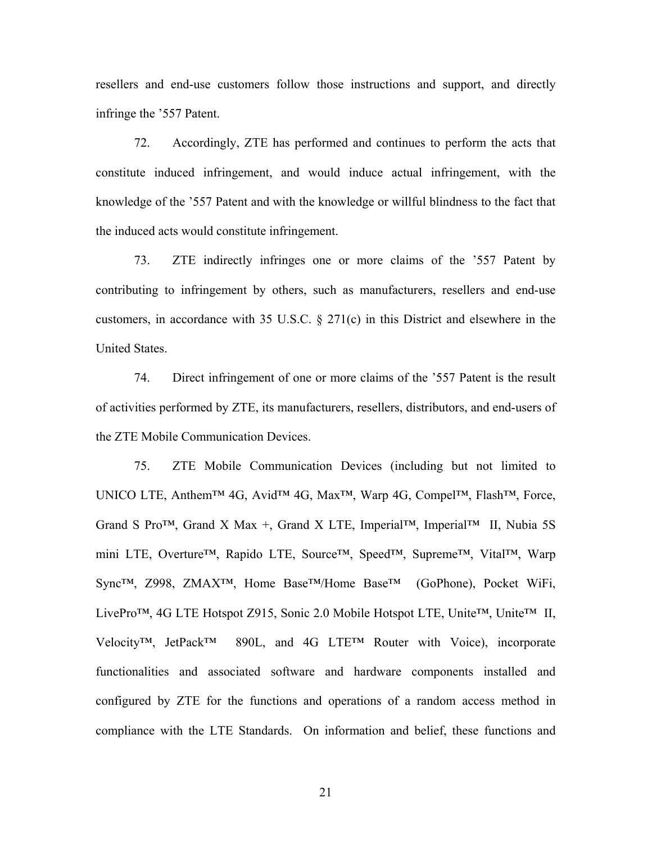resellers and end-use customers follow those instructions and support, and directly infringe the '557 Patent.

72. Accordingly, ZTE has performed and continues to perform the acts that constitute induced infringement, and would induce actual infringement, with the knowledge of the '557 Patent and with the knowledge or willful blindness to the fact that the induced acts would constitute infringement.

73. ZTE indirectly infringes one or more claims of the '557 Patent by contributing to infringement by others, such as manufacturers, resellers and end-use customers, in accordance with 35 U.S.C. § 271(c) in this District and elsewhere in the United States.

74. Direct infringement of one or more claims of the '557 Patent is the result of activities performed by ZTE, its manufacturers, resellers, distributors, and end-users of the ZTE Mobile Communication Devices.

75. ZTE Mobile Communication Devices (including but not limited to UNICO LTE, Anthem™ 4G, Avid™ 4G, Max™, Warp 4G, Compel™, Flash™, Force, Grand S Pro<sup>TM</sup>, Grand X Max +, Grand X LTE, Imperial<sup>TM</sup>, Imperial<sup>TM</sup> II, Nubia 5S mini LTE, Overture™, Rapido LTE, Source™, Speed™, Supreme™, Vital™, Warp Sync™, Z998, ZMAX™, Home Base™/Home Base™ (GoPhone), Pocket WiFi, LivePro™, 4G LTE Hotspot Z915, Sonic 2.0 Mobile Hotspot LTE, Unite™, Unite™ II, Velocity™, JetPack™ 890L, and 4G LTE™ Router with Voice), incorporate functionalities and associated software and hardware components installed and configured by ZTE for the functions and operations of a random access method in compliance with the LTE Standards. On information and belief, these functions and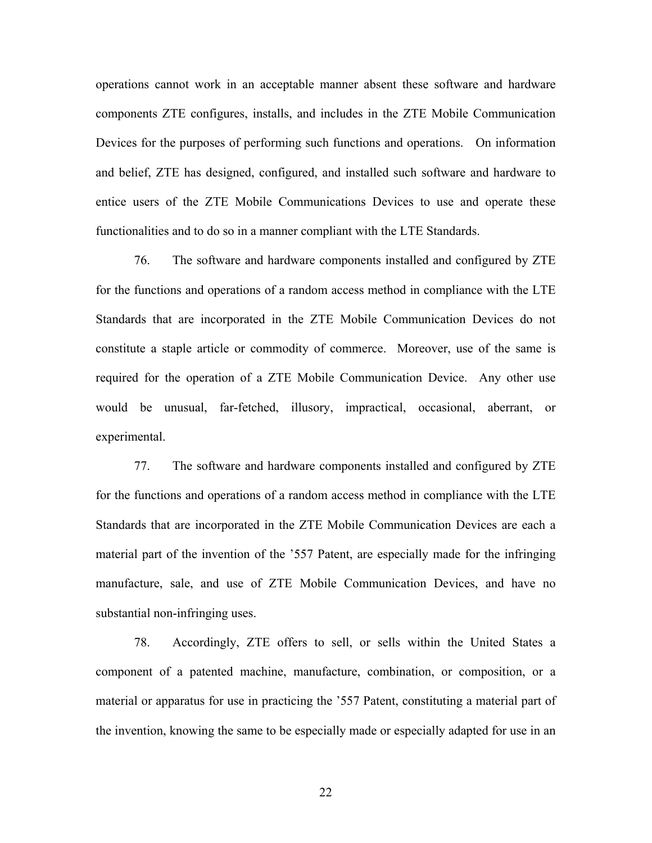operations cannot work in an acceptable manner absent these software and hardware components ZTE configures, installs, and includes in the ZTE Mobile Communication Devices for the purposes of performing such functions and operations. On information and belief, ZTE has designed, configured, and installed such software and hardware to entice users of the ZTE Mobile Communications Devices to use and operate these functionalities and to do so in a manner compliant with the LTE Standards.

76. The software and hardware components installed and configured by ZTE for the functions and operations of a random access method in compliance with the LTE Standards that are incorporated in the ZTE Mobile Communication Devices do not constitute a staple article or commodity of commerce. Moreover, use of the same is required for the operation of a ZTE Mobile Communication Device. Any other use would be unusual, far-fetched, illusory, impractical, occasional, aberrant, or experimental.

77. The software and hardware components installed and configured by ZTE for the functions and operations of a random access method in compliance with the LTE Standards that are incorporated in the ZTE Mobile Communication Devices are each a material part of the invention of the '557 Patent, are especially made for the infringing manufacture, sale, and use of ZTE Mobile Communication Devices, and have no substantial non-infringing uses.

78. Accordingly, ZTE offers to sell, or sells within the United States a component of a patented machine, manufacture, combination, or composition, or a material or apparatus for use in practicing the '557 Patent, constituting a material part of the invention, knowing the same to be especially made or especially adapted for use in an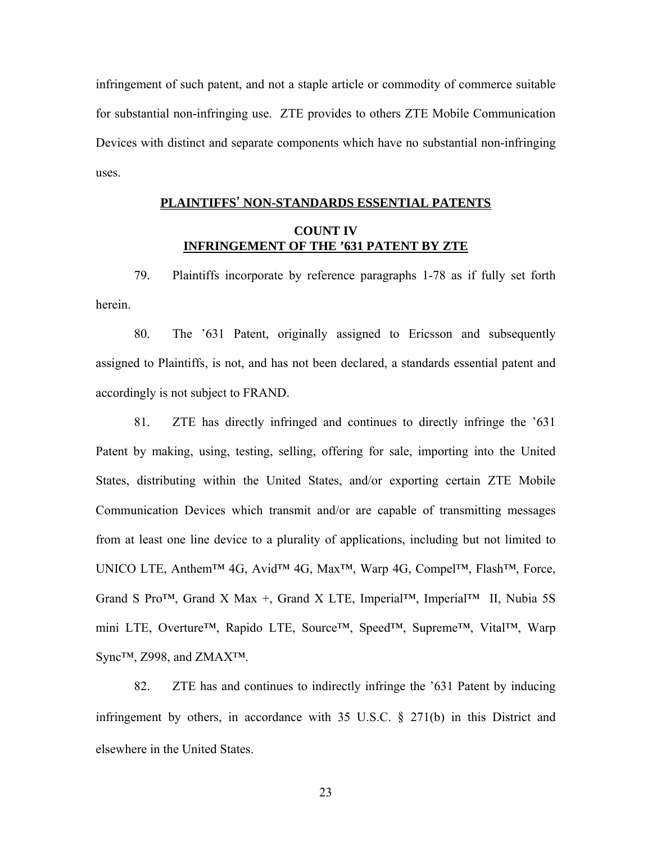infringement of such patent, and not a staple article or commodity of commerce suitable for substantial non-infringing use. ZTE provides to others ZTE Mobile Communication Devices with distinct and separate components which have no substantial non-infringing uses.

### **PLAINTIFFS**' **NON-STANDARDS ESSENTIAL PATENTS COUNT IV**

## **INFRINGEMENT OF THE '631 PATENT BY ZTE**

79. Plaintiffs incorporate by reference paragraphs 1-78 as if fully set forth herein.

80. The '631 Patent, originally assigned to Ericsson and subsequently assigned to Plaintiffs, is not, and has not been declared, a standards essential patent and accordingly is not subject to FRAND.

81. ZTE has directly infringed and continues to directly infringe the '631 Patent by making, using, testing, selling, offering for sale, importing into the United States, distributing within the United States, and/or exporting certain ZTE Mobile Communication Devices which transmit and/or are capable of transmitting messages from at least one line device to a plurality of applications, including but not limited to UNICO LTE, Anthem™ 4G, Avid™ 4G, Max™, Warp 4G, Compel™, Flash™, Force, Grand S Pro<sup>TM</sup>, Grand X Max +, Grand X LTE, Imperial<sup>TM</sup>, Imperial<sup>TM</sup> II, Nubia 5S mini LTE, Overture™, Rapido LTE, Source™, Speed™, Supreme™, Vital™, Warp Sync™, Z998, and ZMAX™.

82. ZTE has and continues to indirectly infringe the '631 Patent by inducing infringement by others, in accordance with 35 U.S.C. § 271(b) in this District and elsewhere in the United States.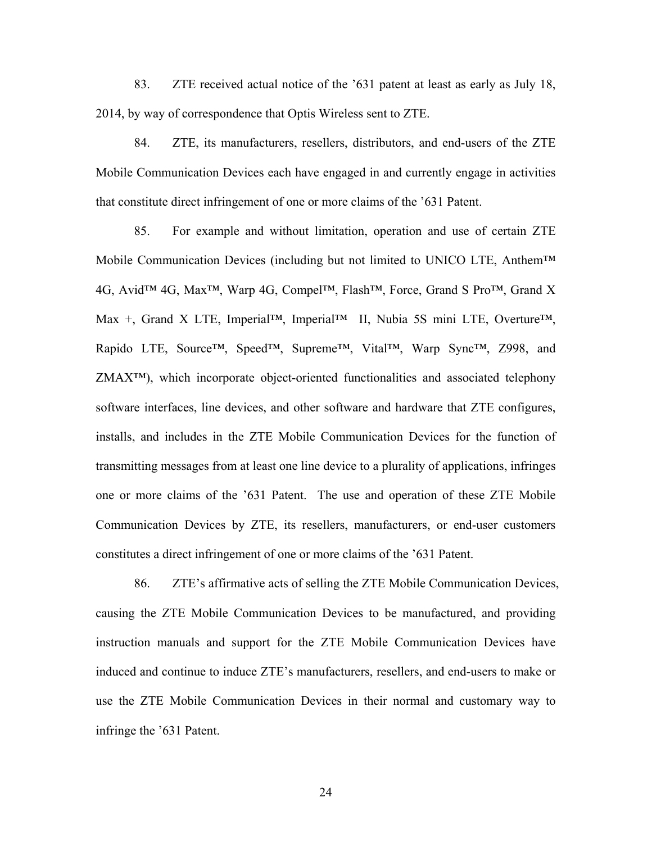83. ZTE received actual notice of the '631 patent at least as early as July 18, 2014, by way of correspondence that Optis Wireless sent to ZTE.

84. ZTE, its manufacturers, resellers, distributors, and end-users of the ZTE Mobile Communication Devices each have engaged in and currently engage in activities that constitute direct infringement of one or more claims of the '631 Patent.

85. For example and without limitation, operation and use of certain ZTE Mobile Communication Devices (including but not limited to UNICO LTE, Anthem™ 4G, Avid™ 4G, Max™, Warp 4G, Compel™, Flash™, Force, Grand S Pro™, Grand X Max +, Grand X LTE, Imperial™, Imperial™ II, Nubia 5S mini LTE, Overture™, Rapido LTE, Source™, Speed™, Supreme™, Vital™, Warp Sync™, Z998, and ZMAX™), which incorporate object-oriented functionalities and associated telephony software interfaces, line devices, and other software and hardware that ZTE configures, installs, and includes in the ZTE Mobile Communication Devices for the function of transmitting messages from at least one line device to a plurality of applications, infringes one or more claims of the '631 Patent. The use and operation of these ZTE Mobile Communication Devices by ZTE, its resellers, manufacturers, or end-user customers constitutes a direct infringement of one or more claims of the '631 Patent.

86. ZTE's affirmative acts of selling the ZTE Mobile Communication Devices, causing the ZTE Mobile Communication Devices to be manufactured, and providing instruction manuals and support for the ZTE Mobile Communication Devices have induced and continue to induce ZTE's manufacturers, resellers, and end-users to make or use the ZTE Mobile Communication Devices in their normal and customary way to infringe the '631 Patent.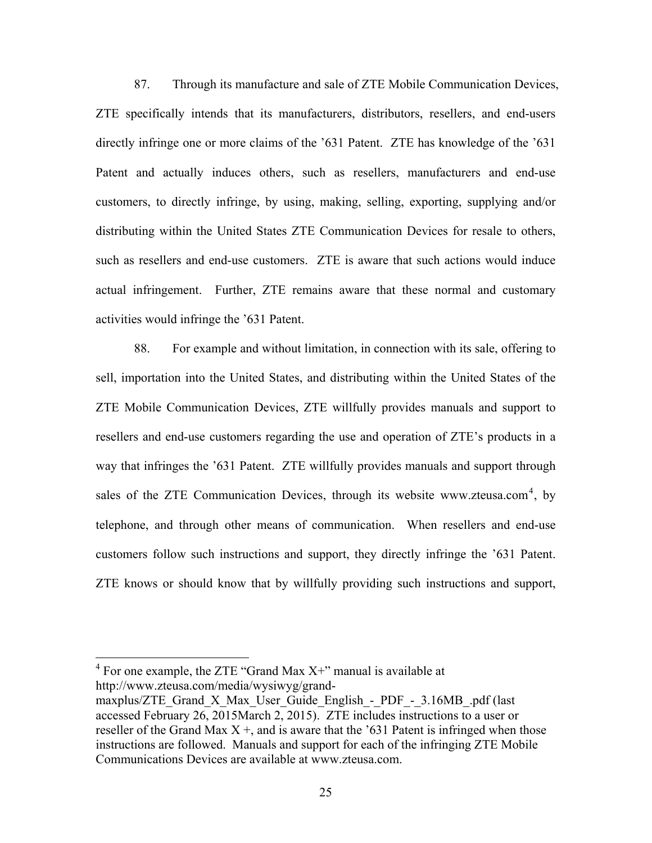87. Through its manufacture and sale of ZTE Mobile Communication Devices, ZTE specifically intends that its manufacturers, distributors, resellers, and end-users directly infringe one or more claims of the '631 Patent. ZTE has knowledge of the '631 Patent and actually induces others, such as resellers, manufacturers and end-use customers, to directly infringe, by using, making, selling, exporting, supplying and/or distributing within the United States ZTE Communication Devices for resale to others, such as resellers and end-use customers. ZTE is aware that such actions would induce actual infringement. Further, ZTE remains aware that these normal and customary activities would infringe the '631 Patent.

88. For example and without limitation, in connection with its sale, offering to sell, importation into the United States, and distributing within the United States of the ZTE Mobile Communication Devices, ZTE willfully provides manuals and support to resellers and end-use customers regarding the use and operation of ZTE's products in a way that infringes the '631 Patent. ZTE willfully provides manuals and support through sales of the ZTE Communication Devices, through its website www.zteusa.com<sup>4</sup>, by telephone, and through other means of communication. When resellers and end-use customers follow such instructions and support, they directly infringe the '631 Patent. ZTE knows or should know that by willfully providing such instructions and support,

 $4$  For one example, the ZTE "Grand Max X+" manual is available at http://www.zteusa.com/media/wysiwyg/grand-

maxplus/ZTE Grand X Max User Guide English - PDF -  $3.16MB$ .pdf (last accessed February 26, 2015March 2, 2015). ZTE includes instructions to a user or reseller of the Grand Max  $X +$ , and is aware that the '631 Patent is infringed when those instructions are followed. Manuals and support for each of the infringing ZTE Mobile Communications Devices are available at www.zteusa.com.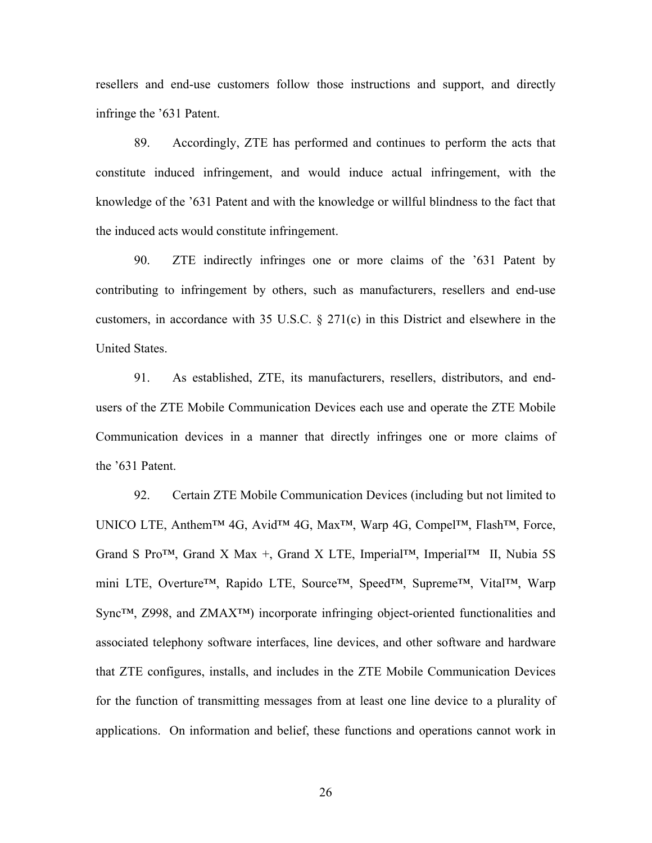resellers and end-use customers follow those instructions and support, and directly infringe the '631 Patent.

89. Accordingly, ZTE has performed and continues to perform the acts that constitute induced infringement, and would induce actual infringement, with the knowledge of the '631 Patent and with the knowledge or willful blindness to the fact that the induced acts would constitute infringement.

90. ZTE indirectly infringes one or more claims of the '631 Patent by contributing to infringement by others, such as manufacturers, resellers and end-use customers, in accordance with 35 U.S.C. § 271(c) in this District and elsewhere in the United States.

91. As established, ZTE, its manufacturers, resellers, distributors, and endusers of the ZTE Mobile Communication Devices each use and operate the ZTE Mobile Communication devices in a manner that directly infringes one or more claims of the '631 Patent.

92. Certain ZTE Mobile Communication Devices (including but not limited to UNICO LTE, Anthem™ 4G, Avid™ 4G, Max™, Warp 4G, Compel™, Flash™, Force, Grand S Pro<sup>TM</sup>, Grand X Max +, Grand X LTE, Imperial<sup>TM</sup>, Imperial<sup>TM</sup> II, Nubia 5S mini LTE, Overture™, Rapido LTE, Source™, Speed™, Supreme™, Vital™, Warp Sync™, Z998, and ZMAX™) incorporate infringing object-oriented functionalities and associated telephony software interfaces, line devices, and other software and hardware that ZTE configures, installs, and includes in the ZTE Mobile Communication Devices for the function of transmitting messages from at least one line device to a plurality of applications. On information and belief, these functions and operations cannot work in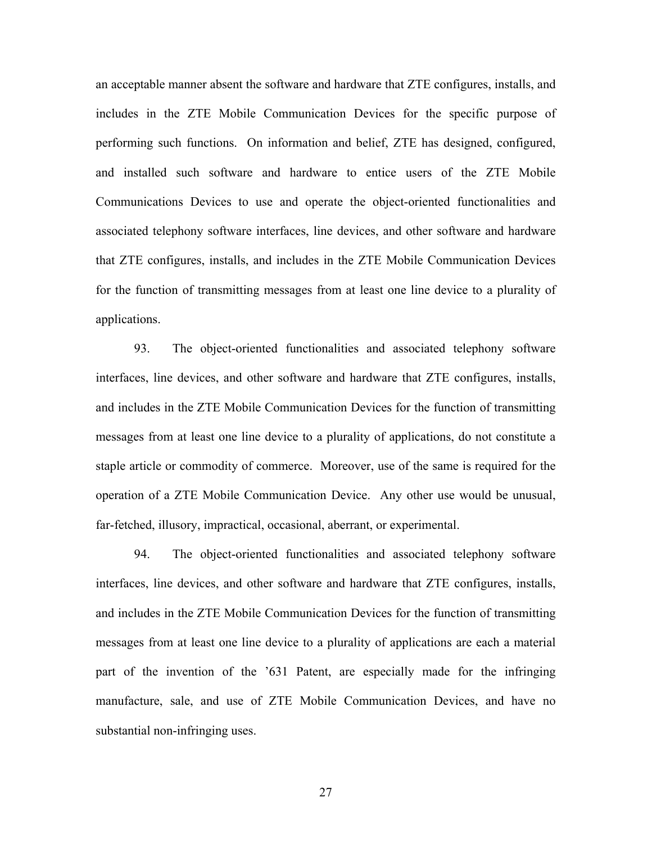an acceptable manner absent the software and hardware that ZTE configures, installs, and includes in the ZTE Mobile Communication Devices for the specific purpose of performing such functions. On information and belief, ZTE has designed, configured, and installed such software and hardware to entice users of the ZTE Mobile Communications Devices to use and operate the object-oriented functionalities and associated telephony software interfaces, line devices, and other software and hardware that ZTE configures, installs, and includes in the ZTE Mobile Communication Devices for the function of transmitting messages from at least one line device to a plurality of applications.

93. The object-oriented functionalities and associated telephony software interfaces, line devices, and other software and hardware that ZTE configures, installs, and includes in the ZTE Mobile Communication Devices for the function of transmitting messages from at least one line device to a plurality of applications, do not constitute a staple article or commodity of commerce. Moreover, use of the same is required for the operation of a ZTE Mobile Communication Device. Any other use would be unusual, far-fetched, illusory, impractical, occasional, aberrant, or experimental.

94. The object-oriented functionalities and associated telephony software interfaces, line devices, and other software and hardware that ZTE configures, installs, and includes in the ZTE Mobile Communication Devices for the function of transmitting messages from at least one line device to a plurality of applications are each a material part of the invention of the '631 Patent, are especially made for the infringing manufacture, sale, and use of ZTE Mobile Communication Devices, and have no substantial non-infringing uses.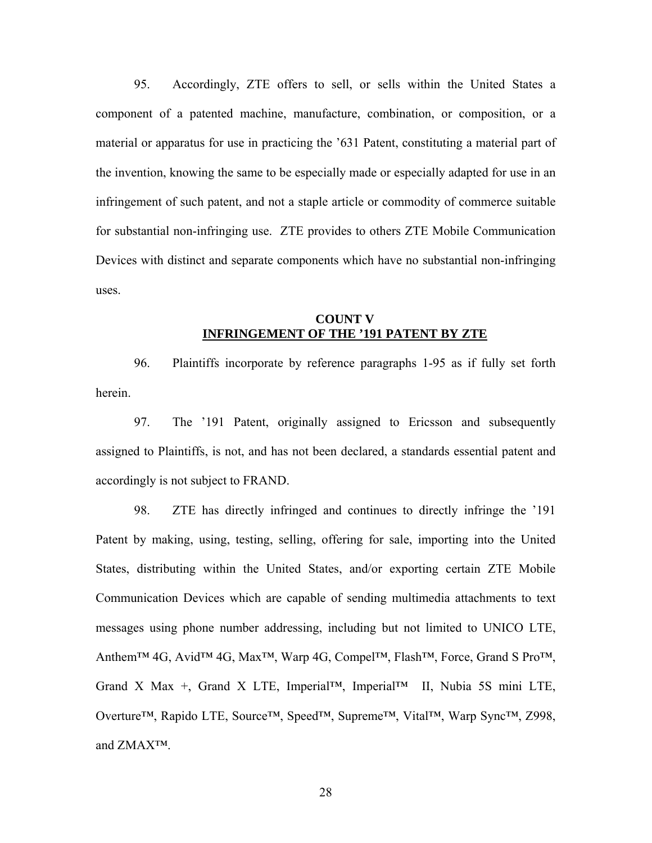95. Accordingly, ZTE offers to sell, or sells within the United States a component of a patented machine, manufacture, combination, or composition, or a material or apparatus for use in practicing the '631 Patent, constituting a material part of the invention, knowing the same to be especially made or especially adapted for use in an infringement of such patent, and not a staple article or commodity of commerce suitable for substantial non-infringing use. ZTE provides to others ZTE Mobile Communication Devices with distinct and separate components which have no substantial non-infringing uses.

### **COUNT V INFRINGEMENT OF THE '191 PATENT BY ZTE**

96. Plaintiffs incorporate by reference paragraphs 1-95 as if fully set forth herein.

97. The '191 Patent, originally assigned to Ericsson and subsequently assigned to Plaintiffs, is not, and has not been declared, a standards essential patent and accordingly is not subject to FRAND.

98. ZTE has directly infringed and continues to directly infringe the '191 Patent by making, using, testing, selling, offering for sale, importing into the United States, distributing within the United States, and/or exporting certain ZTE Mobile Communication Devices which are capable of sending multimedia attachments to text messages using phone number addressing, including but not limited to UNICO LTE, Anthem™ 4G, Avid™ 4G, Max<sup>™,</sup> Warp 4G, Compel™, Flash™, Force, Grand S Pro™, Grand X Max +, Grand X LTE, Imperial™, Imperial™ II, Nubia 5S mini LTE, Overture™, Rapido LTE, Source™, Speed™, Supreme™, Vital™, Warp Sync™, Z998, and ZMAX™.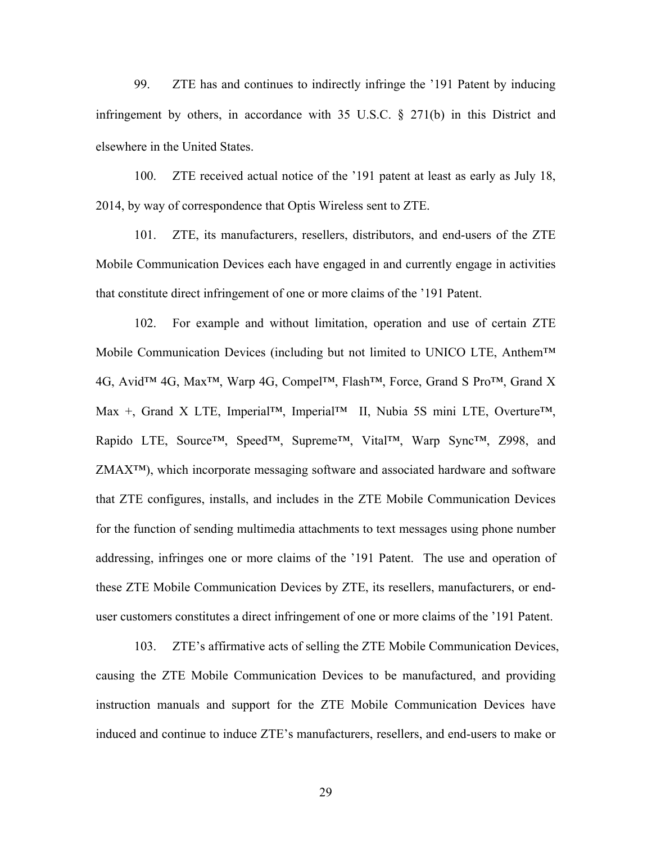99. ZTE has and continues to indirectly infringe the '191 Patent by inducing infringement by others, in accordance with 35 U.S.C. § 271(b) in this District and elsewhere in the United States.

100. ZTE received actual notice of the '191 patent at least as early as July 18, 2014, by way of correspondence that Optis Wireless sent to ZTE.

101. ZTE, its manufacturers, resellers, distributors, and end-users of the ZTE Mobile Communication Devices each have engaged in and currently engage in activities that constitute direct infringement of one or more claims of the '191 Patent.

102. For example and without limitation, operation and use of certain ZTE Mobile Communication Devices (including but not limited to UNICO LTE, Anthem™ 4G, Avid™ 4G, Max™, Warp 4G, Compel™, Flash™, Force, Grand S Pro™, Grand X Max +, Grand X LTE, Imperial™, Imperial™ II, Nubia 5S mini LTE, Overture™, Rapido LTE, Source™, Speed™, Supreme™, Vital™, Warp Sync™, Z998, and ZMAX™), which incorporate messaging software and associated hardware and software that ZTE configures, installs, and includes in the ZTE Mobile Communication Devices for the function of sending multimedia attachments to text messages using phone number addressing, infringes one or more claims of the '191 Patent. The use and operation of these ZTE Mobile Communication Devices by ZTE, its resellers, manufacturers, or enduser customers constitutes a direct infringement of one or more claims of the '191 Patent.

103. ZTE's affirmative acts of selling the ZTE Mobile Communication Devices, causing the ZTE Mobile Communication Devices to be manufactured, and providing instruction manuals and support for the ZTE Mobile Communication Devices have induced and continue to induce ZTE's manufacturers, resellers, and end-users to make or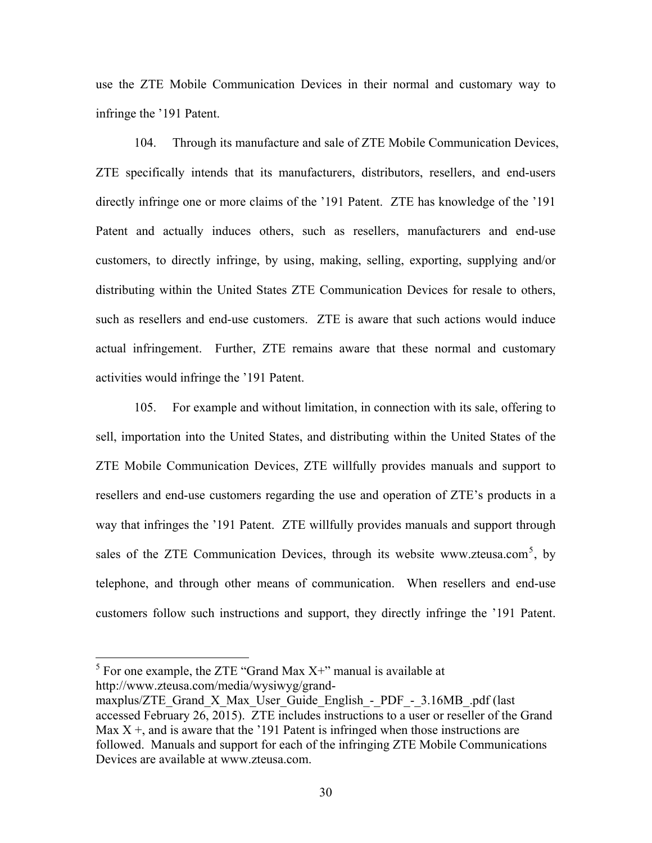use the ZTE Mobile Communication Devices in their normal and customary way to infringe the '191 Patent.

104. Through its manufacture and sale of ZTE Mobile Communication Devices, ZTE specifically intends that its manufacturers, distributors, resellers, and end-users directly infringe one or more claims of the '191 Patent. ZTE has knowledge of the '191 Patent and actually induces others, such as resellers, manufacturers and end-use customers, to directly infringe, by using, making, selling, exporting, supplying and/or distributing within the United States ZTE Communication Devices for resale to others, such as resellers and end-use customers. ZTE is aware that such actions would induce actual infringement. Further, ZTE remains aware that these normal and customary activities would infringe the '191 Patent.

105. For example and without limitation, in connection with its sale, offering to sell, importation into the United States, and distributing within the United States of the ZTE Mobile Communication Devices, ZTE willfully provides manuals and support to resellers and end-use customers regarding the use and operation of ZTE's products in a way that infringes the '191 Patent. ZTE willfully provides manuals and support through sales of the ZTE Communication Devices, through its website www.zteusa.com<sup>5</sup>, by telephone, and through other means of communication. When resellers and end-use customers follow such instructions and support, they directly infringe the '191 Patent.

 $<sup>5</sup>$  For one example, the ZTE "Grand Max X+" manual is available at</sup> http://www.zteusa.com/media/wysiwyg/grand-

maxplus/ZTE\_Grand\_X\_Max\_User\_Guide\_English - PDF -  $3.16MB$ .pdf (last accessed February 26, 2015). ZTE includes instructions to a user or reseller of the Grand Max  $X +$ , and is aware that the '191 Patent is infringed when those instructions are followed. Manuals and support for each of the infringing ZTE Mobile Communications Devices are available at www.zteusa.com.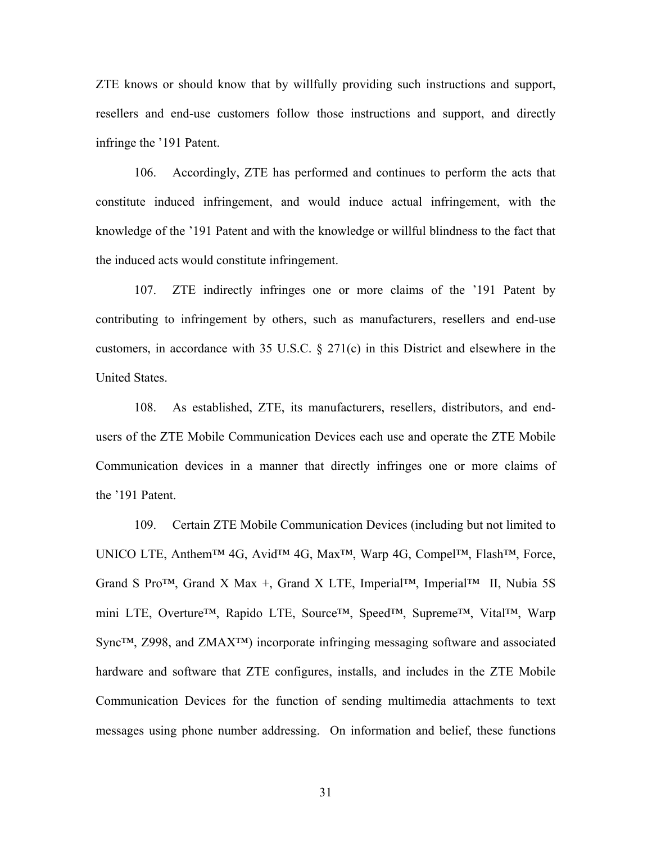ZTE knows or should know that by willfully providing such instructions and support, resellers and end-use customers follow those instructions and support, and directly infringe the '191 Patent.

106. Accordingly, ZTE has performed and continues to perform the acts that constitute induced infringement, and would induce actual infringement, with the knowledge of the '191 Patent and with the knowledge or willful blindness to the fact that the induced acts would constitute infringement.

107. ZTE indirectly infringes one or more claims of the '191 Patent by contributing to infringement by others, such as manufacturers, resellers and end-use customers, in accordance with 35 U.S.C. § 271(c) in this District and elsewhere in the United States.

108. As established, ZTE, its manufacturers, resellers, distributors, and endusers of the ZTE Mobile Communication Devices each use and operate the ZTE Mobile Communication devices in a manner that directly infringes one or more claims of the '191 Patent.

109. Certain ZTE Mobile Communication Devices (including but not limited to UNICO LTE, Anthem™ 4G, Avid™ 4G, Max™, Warp 4G, Compel™, Flash™, Force, Grand S Pro<sup>TM</sup>, Grand X Max +, Grand X LTE, Imperial<sup>TM</sup>, Imperial<sup>TM</sup> II, Nubia 5S mini LTE, Overture<sup>™</sup>, Rapido LTE, Source<sup>™</sup>, Speed™, Supreme™, Vital™, Warp Sync™, Z998, and ZMAX™) incorporate infringing messaging software and associated hardware and software that ZTE configures, installs, and includes in the ZTE Mobile Communication Devices for the function of sending multimedia attachments to text messages using phone number addressing. On information and belief, these functions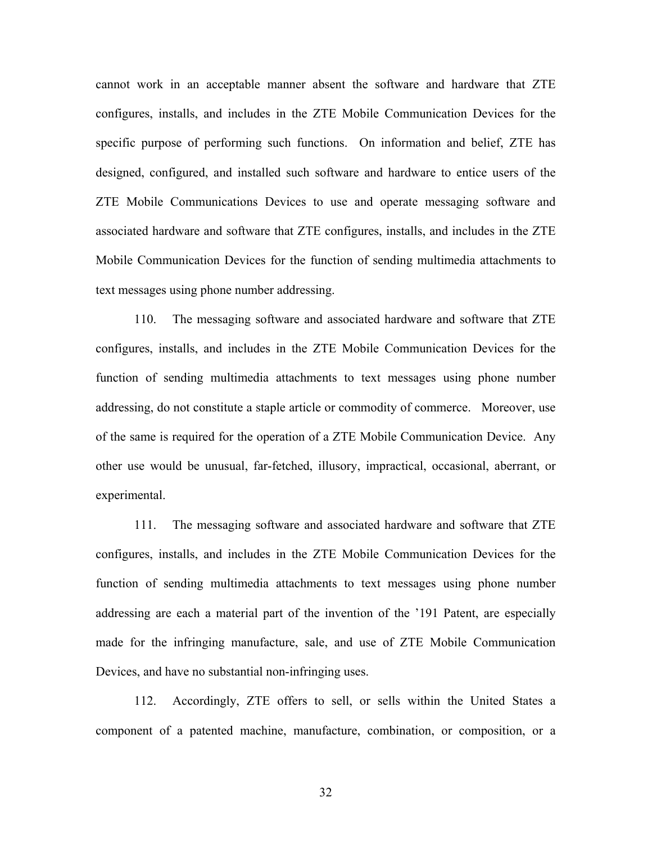cannot work in an acceptable manner absent the software and hardware that ZTE configures, installs, and includes in the ZTE Mobile Communication Devices for the specific purpose of performing such functions. On information and belief, ZTE has designed, configured, and installed such software and hardware to entice users of the ZTE Mobile Communications Devices to use and operate messaging software and associated hardware and software that ZTE configures, installs, and includes in the ZTE Mobile Communication Devices for the function of sending multimedia attachments to text messages using phone number addressing.

110. The messaging software and associated hardware and software that ZTE configures, installs, and includes in the ZTE Mobile Communication Devices for the function of sending multimedia attachments to text messages using phone number addressing, do not constitute a staple article or commodity of commerce. Moreover, use of the same is required for the operation of a ZTE Mobile Communication Device. Any other use would be unusual, far-fetched, illusory, impractical, occasional, aberrant, or experimental.

111. The messaging software and associated hardware and software that ZTE configures, installs, and includes in the ZTE Mobile Communication Devices for the function of sending multimedia attachments to text messages using phone number addressing are each a material part of the invention of the '191 Patent, are especially made for the infringing manufacture, sale, and use of ZTE Mobile Communication Devices, and have no substantial non-infringing uses.

112. Accordingly, ZTE offers to sell, or sells within the United States a component of a patented machine, manufacture, combination, or composition, or a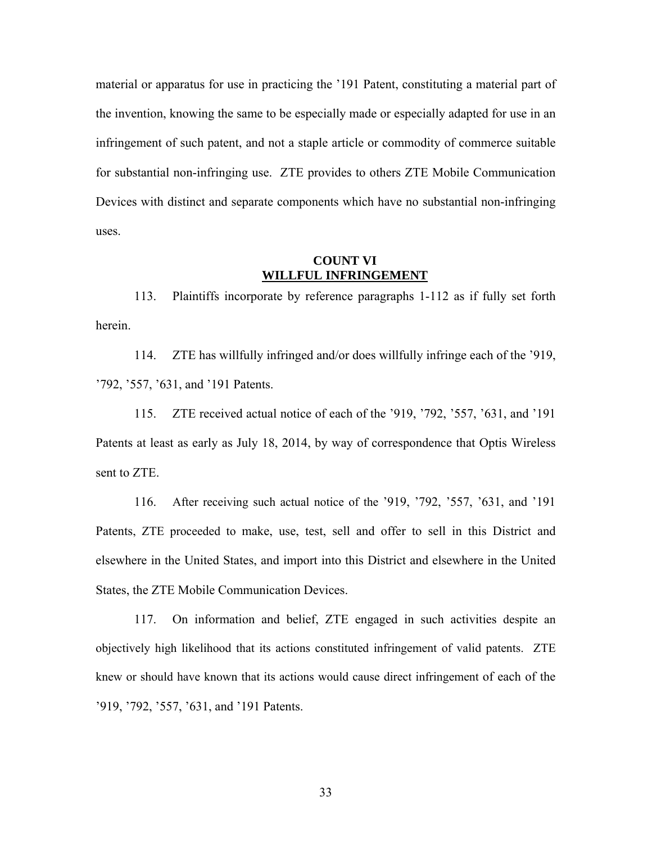material or apparatus for use in practicing the '191 Patent, constituting a material part of the invention, knowing the same to be especially made or especially adapted for use in an infringement of such patent, and not a staple article or commodity of commerce suitable for substantial non-infringing use. ZTE provides to others ZTE Mobile Communication Devices with distinct and separate components which have no substantial non-infringing uses.

### **COUNT VI WILLFUL INFRINGEMENT**

113. Plaintiffs incorporate by reference paragraphs 1-112 as if fully set forth herein.

114. ZTE has willfully infringed and/or does willfully infringe each of the '919, '792, '557, '631, and '191 Patents.

115. ZTE received actual notice of each of the '919, '792, '557, '631, and '191 Patents at least as early as July 18, 2014, by way of correspondence that Optis Wireless sent to ZTE.

116. After receiving such actual notice of the '919, '792, '557, '631, and '191 Patents, ZTE proceeded to make, use, test, sell and offer to sell in this District and elsewhere in the United States, and import into this District and elsewhere in the United States, the ZTE Mobile Communication Devices.

117. On information and belief, ZTE engaged in such activities despite an objectively high likelihood that its actions constituted infringement of valid patents. ZTE knew or should have known that its actions would cause direct infringement of each of the '919, '792, '557, '631, and '191 Patents.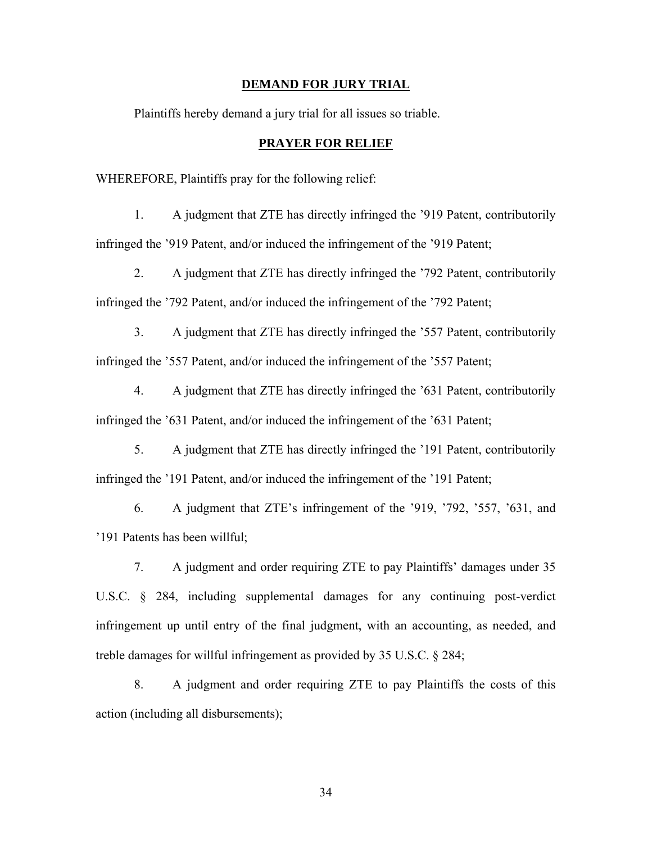#### **DEMAND FOR JURY TRIAL**

Plaintiffs hereby demand a jury trial for all issues so triable.

### **PRAYER FOR RELIEF**

WHEREFORE, Plaintiffs pray for the following relief:

1. A judgment that ZTE has directly infringed the '919 Patent, contributorily infringed the '919 Patent, and/or induced the infringement of the '919 Patent;

2. A judgment that ZTE has directly infringed the '792 Patent, contributorily infringed the '792 Patent, and/or induced the infringement of the '792 Patent;

3. A judgment that ZTE has directly infringed the '557 Patent, contributorily infringed the '557 Patent, and/or induced the infringement of the '557 Patent;

4. A judgment that ZTE has directly infringed the '631 Patent, contributorily infringed the '631 Patent, and/or induced the infringement of the '631 Patent;

5. A judgment that ZTE has directly infringed the '191 Patent, contributorily infringed the '191 Patent, and/or induced the infringement of the '191 Patent;

6. A judgment that ZTE's infringement of the '919, '792, '557, '631, and '191 Patents has been willful;

7. A judgment and order requiring ZTE to pay Plaintiffs' damages under 35 U.S.C. § 284, including supplemental damages for any continuing post-verdict infringement up until entry of the final judgment, with an accounting, as needed, and treble damages for willful infringement as provided by 35 U.S.C. § 284;

8. A judgment and order requiring ZTE to pay Plaintiffs the costs of this action (including all disbursements);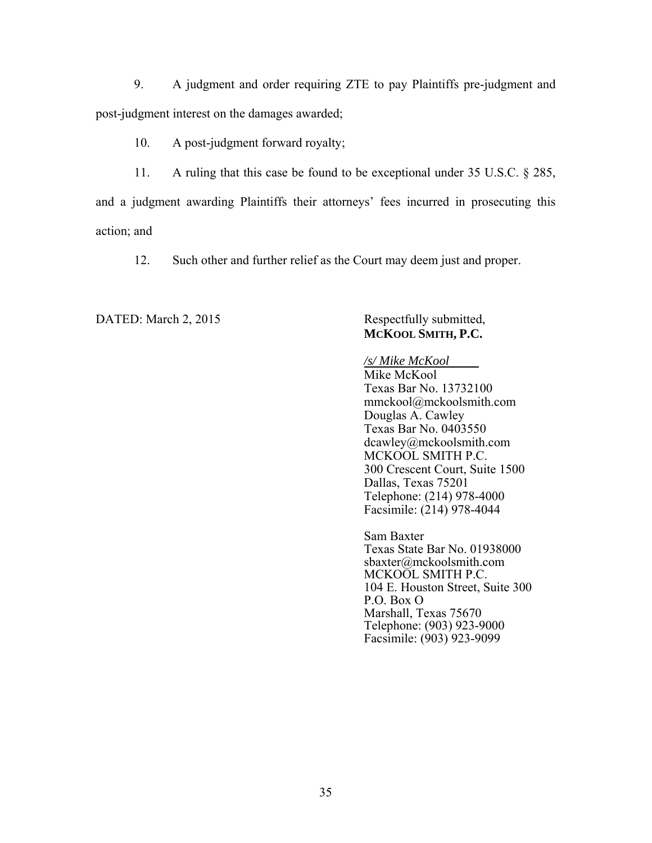9. A judgment and order requiring ZTE to pay Plaintiffs pre-judgment and post-judgment interest on the damages awarded;

10. A post-judgment forward royalty;

11. A ruling that this case be found to be exceptional under 35 U.S.C. § 285, and a judgment awarding Plaintiffs their attorneys' fees incurred in prosecuting this action; and

12. Such other and further relief as the Court may deem just and proper.

DATED: March 2, 2015 Respectfully submitted,

# **MCKOOL SMITH, P.C.**

*/s/ Mike McKool*  Mike McKool Texas Bar No. 13732100 mmckool@mckoolsmith.com Douglas A. Cawley Texas Bar No. 0403550 dcawley@mckoolsmith.com MCKOOL SMITH P.C. 300 Crescent Court, Suite 1500 Dallas, Texas 75201 Telephone: (214) 978-4000 Facsimile: (214) 978-4044

Sam Baxter Texas State Bar No. 01938000 sbaxter@mckoolsmith.com MCKOOL SMITH P.C. 104 E. Houston Street, Suite 300 P.O. Box O Marshall, Texas 75670 Telephone: (903) 923-9000 Facsimile: (903) 923-9099